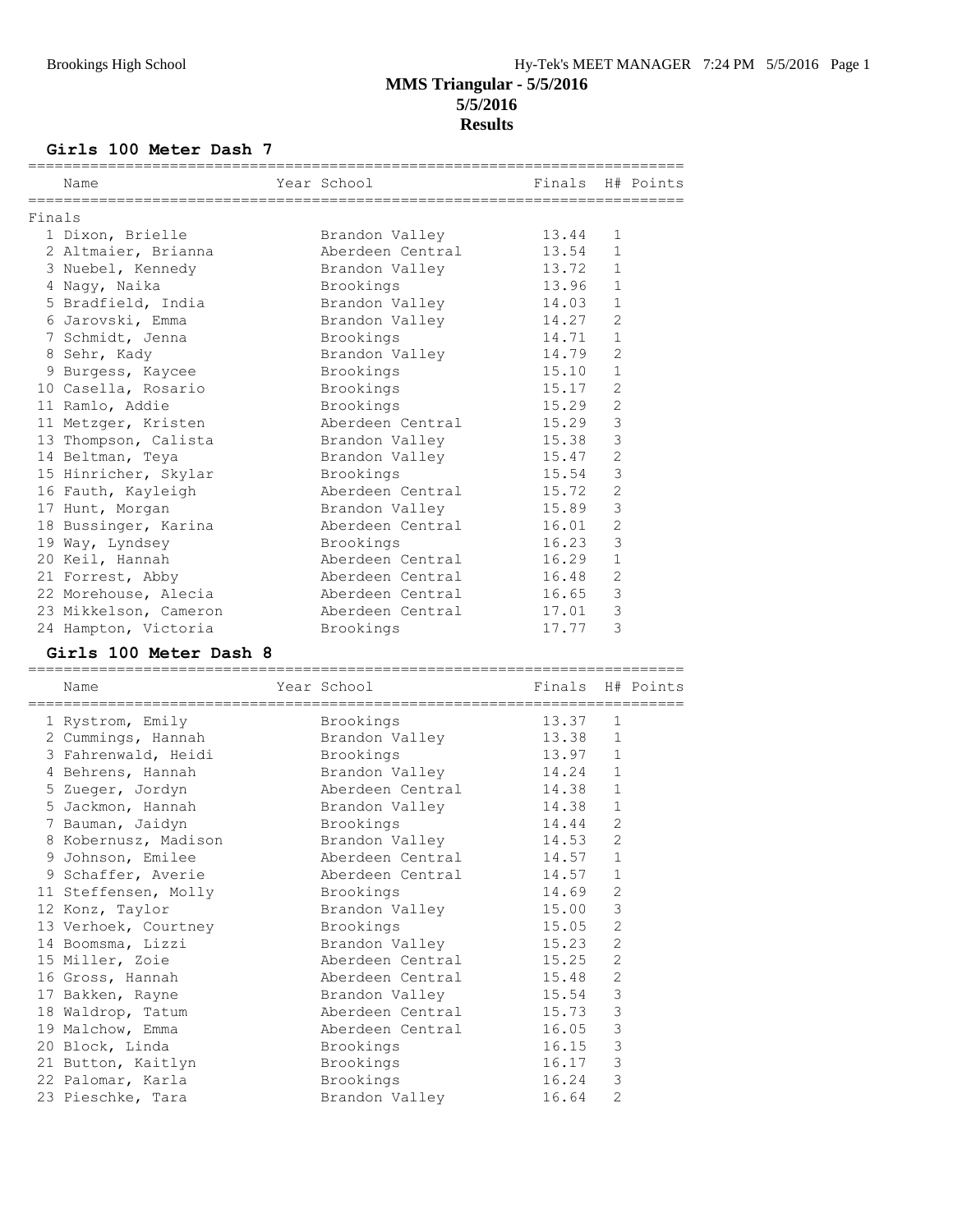### **Girls 100 Meter Dash 7**

|        | Name                  | Year School            | Finals H# Points |                |  |
|--------|-----------------------|------------------------|------------------|----------------|--|
|        |                       |                        |                  |                |  |
| Finals |                       |                        |                  |                |  |
|        | 1 Dixon, Brielle      | Brandon Valley         | 13.44            | 1              |  |
|        | 2 Altmaier, Brianna   | Aberdeen Central       | 13.54            | $\mathbf{1}$   |  |
|        | 3 Nuebel, Kennedy     | Brandon Valley 13.72   |                  | $\mathbf{1}$   |  |
|        | 4 Naqy, Naika         | Brookings              | 13.96            | $\mathbf{1}$   |  |
|        | 5 Bradfield, India    | Brandon Valley         | 14.03            | $\mathbf{1}$   |  |
|        | 6 Jarovski, Emma      | Brandon Valley 14.27   |                  | $\overline{2}$ |  |
|        | 7 Schmidt, Jenna      | Brookings              | 14.71            | $\mathbf{1}$   |  |
|        | 8 Sehr, Kady          | Brandon Valley         | 14.79            | $\overline{c}$ |  |
|        | 9 Burgess, Kaycee     | Brookings              | 15.10            | $\mathbf{1}$   |  |
|        | 10 Casella, Rosario   | Brookings              | 15.17            | $\overline{2}$ |  |
|        | 11 Ramlo, Addie       | Brookings              | 15.29            | $\overline{2}$ |  |
|        | 11 Metzger, Kristen   | Aberdeen Central       | 15.29            | 3              |  |
|        | 13 Thompson, Calista  | Brandon Valley         | 15.38            | 3              |  |
|        | 14 Beltman, Teya      | Brandon Valley 15.47   |                  | $\overline{2}$ |  |
|        | 15 Hinricher, Skylar  | Brookings              | 15.54            | 3              |  |
|        | 16 Fauth, Kayleigh    | Aberdeen Central       | 15.72            | $\overline{2}$ |  |
|        | 17 Hunt, Morgan       | Brandon Valley         | 15.89            | 3              |  |
|        | 18 Bussinger, Karina  | Aberdeen Central 16.01 |                  | $\overline{2}$ |  |
|        | 19 Way, Lyndsey       | Brookings              | 16.23            | 3              |  |
|        | 20 Keil, Hannah       | Aberdeen Central       | 16.29            | $\mathbf{1}$   |  |
|        | 21 Forrest, Abby      | Aberdeen Central       | 16.48            | $\overline{2}$ |  |
|        | 22 Morehouse, Alecia  | Aberdeen Central       | 16.65            | 3              |  |
|        | 23 Mikkelson, Cameron | Aberdeen Central       | 17.01            | 3              |  |
|        | 24 Hampton, Victoria  | Brookings              | 17.77            | 3              |  |

### **Girls 100 Meter Dash 8**

| Name                           | Year School<br>================================ | Finals H# Points |                |  |
|--------------------------------|-------------------------------------------------|------------------|----------------|--|
| 1 Rystrom, Emily               | Brookings                                       | 13.37 1          |                |  |
| 2 Cummings, Hannah             | Brandon Valley                                  | 13.38            | $\mathbf{1}$   |  |
| 3 Fahrenwald, Heidi            | Brookings                                       | 13.97 1          |                |  |
| 4 Behrens, Hannah              | Brandon Valley                                  | 14.24            | $\mathbf{1}$   |  |
| 5 Zueger, Jordyn               | Aberdeen Central 14.38                          |                  | $\mathbf{1}$   |  |
| 5 Jackmon, Hannah              | Brandon Valley                                  | 14.38            | $\mathbf{1}$   |  |
| 7 Bauman, Jaidyn               | Brookings                                       | 14.44            | $\overline{2}$ |  |
| 8 Kobernusz, Madison           | Brandon Valley                                  | 14.53            | 2              |  |
| 9 Johnson, Emilee              | Aberdeen Central 14.57                          |                  | $\mathbf{1}$   |  |
| 9 Schaffer, Averie             | Aberdeen Central                                | 14.57            | $\mathbf{1}$   |  |
| 11 Steffensen, Molly Brookings |                                                 | 14.69            | 2              |  |
| 12 Konz, Taylor                | Brandon Valley                                  | 15.00            | 3              |  |
| 13 Verhoek, Courtney           | Brookings                                       | 15.05            | 2              |  |
| 14 Boomsma, Lizzi              | Brandon Valley                                  | 15.23            | 2              |  |
| 15 Miller, Zoie                | Aberdeen Central 15.25                          |                  | 2              |  |
| 16 Gross, Hannah               | Aberdeen Central 15.48                          |                  | 2              |  |
| 17 Bakken, Rayne               | Brandon Valley 15.54                            |                  | $\mathsf 3$    |  |
| 18 Waldrop, Tatum              | Aberdeen Central 15.73                          |                  | 3              |  |
| 19 Malchow, Emma               | Aberdeen Central 16.05                          |                  | 3              |  |
| 20 Block, Linda                | Brookings                                       | 16.15            | $\mathcal{S}$  |  |
| 21 Button, Kaitlyn             | Brookings                                       | 16.17 3          |                |  |
| 22 Palomar, Karla              | Brookings                                       | 16.24            | $\mathcal{S}$  |  |
| 23 Pieschke, Tara              | Brandon Valley                                  | 16.64            | $\overline{2}$ |  |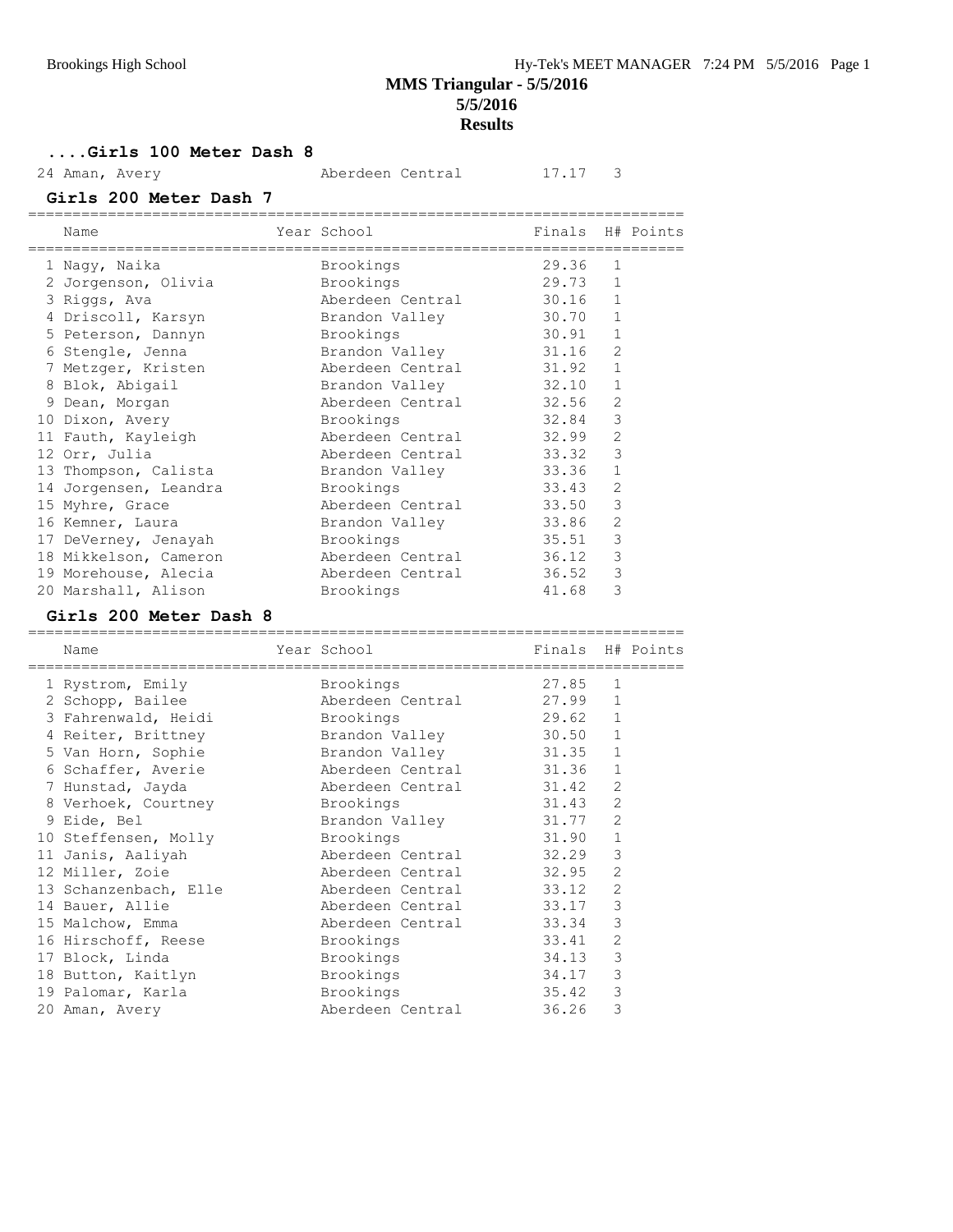**MMS Triangular - 5/5/2016 5/5/2016**

### **Results**

**....Girls 100 Meter Dash 8**

24 Aman, Avery **Aberdeen Central** 17.17 3

**Girls 200 Meter Dash 7**

| Name                  | Year School<br>--------------------- | Finals H# Points |                |  |
|-----------------------|--------------------------------------|------------------|----------------|--|
| 1 Naqy, Naika         | Brookings                            | 29.36            | $\mathbf{1}$   |  |
| 2 Jorgenson, Olivia   | Brookings                            | 29.73            | $\mathbf{1}$   |  |
| 3 Riggs, Ava          | Aberdeen Central                     | 30.16            | $\mathbf{1}$   |  |
| 4 Driscoll, Karsyn    | Brandon Valley                       | 30.70            | $\mathbf{1}$   |  |
| 5 Peterson, Dannyn    | Brookings                            | 30.91            | $\mathbf{1}$   |  |
| 6 Stengle, Jenna      | Brandon Valley                       | 31.16            | $\mathcal{L}$  |  |
| 7 Metzger, Kristen    | Aberdeen Central                     | 31.92            | $\mathbf{1}$   |  |
| 8 Blok, Abigail       | Brandon Valley                       | 32.10            | $\mathbf{1}$   |  |
| 9 Dean, Morgan        | Aberdeen Central                     | 32.56            | $\overline{2}$ |  |
| 10 Dixon, Avery       | Brookings                            | 32.84            | 3              |  |
| 11 Fauth, Kayleigh    | Aberdeen Central                     | 32.99            | $\overline{2}$ |  |
| 12 Orr, Julia         | Aberdeen Central                     | 33.32            | 3              |  |
| 13 Thompson, Calista  | Brandon Valley                       | 33.36            | 1              |  |
| 14 Jorgensen, Leandra | Brookings                            | 33.43            | $\overline{2}$ |  |
| 15 Myhre, Grace       | Aberdeen Central                     | 33.50            | 3              |  |
| 16 Kemner, Laura      | Brandon Valley                       | 33.86            | $\overline{2}$ |  |
| 17 DeVerney, Jenayah  | Brookings                            | 35.51            | 3              |  |
| 18 Mikkelson, Cameron | Aberdeen Central                     | 36.12            | 3              |  |
| 19 Morehouse, Alecia  | Aberdeen Central                     | 36.52            | 3              |  |
| 20 Marshall, Alison   | Brookings                            | 41.68            | 3              |  |
|                       |                                      |                  |                |  |

#### **Girls 200 Meter Dash 8**

| Name                  | Year School      | Finals H# Points |                |  |
|-----------------------|------------------|------------------|----------------|--|
| 1 Rystrom, Emily      | Brookings        | 27.85            | $\mathbf{1}$   |  |
| 2 Schopp, Bailee      | Aberdeen Central | 27.99            | $\mathbf{1}$   |  |
| 3 Fahrenwald, Heidi   | Brookings        | 29.62            | $\mathbf{1}$   |  |
| 4 Reiter, Brittney    | Brandon Valley   | 30.50            | $\mathbf{1}$   |  |
| 5 Van Horn, Sophie    | Brandon Valley   | 31.35            | $\mathbf 1$    |  |
| 6 Schaffer, Averie    | Aberdeen Central | 31.36            | $\mathbf{1}$   |  |
| 7 Hunstad, Jayda      | Aberdeen Central | 31.42            | $\overline{2}$ |  |
| 8 Verhoek, Courtney   | Brookings        | 31.43            | 2              |  |
| 9 Eide, Bel           | Brandon Valley   | 31.77            | $\overline{2}$ |  |
| 10 Steffensen, Molly  | Brookings        | 31.90            | $\mathbf{1}$   |  |
| 11 Janis, Aaliyah     | Aberdeen Central | 32.29            | 3              |  |
| 12 Miller, Zoie       | Aberdeen Central | 32.95            | $\overline{2}$ |  |
| 13 Schanzenbach, Elle | Aberdeen Central | 33.12            | 2              |  |
| 14 Bauer, Allie       | Aberdeen Central | 33.17            | 3              |  |
| 15 Malchow, Emma      | Aberdeen Central | 33.34            | 3              |  |
| 16 Hirschoff, Reese   | Brookings        | 33.41            | 2              |  |
| 17 Block, Linda       | Brookings        | 34.13            | $\mathcal{S}$  |  |
| 18 Button, Kaitlyn    | Brookings        | 34.17            | 3              |  |
| 19 Palomar, Karla     | Brookings        | 35.42            | 3              |  |
| 20 Aman, Avery        | Aberdeen Central | 36.26            | 3              |  |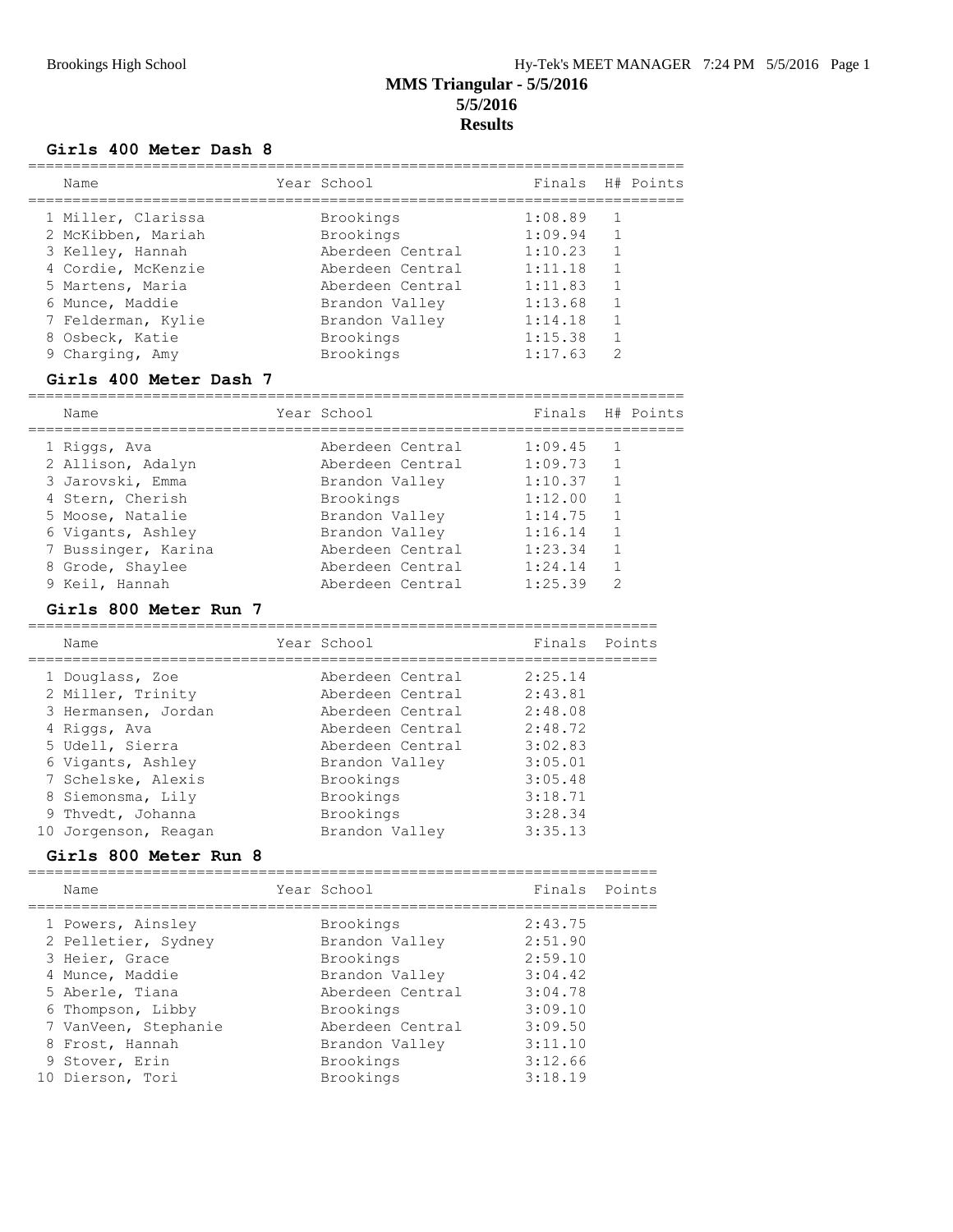#### **Girls 400 Meter Dash 8**

| Name               | Year School      | Finals H# Points |                |  |
|--------------------|------------------|------------------|----------------|--|
| 1 Miller, Clarissa | Brookings        | 1:08.89          |                |  |
| 2 McKibben, Mariah | Brookings        | 1:09.94          | $\overline{1}$ |  |
| 3 Kelley, Hannah   | Aberdeen Central | 1:10.23          | 1              |  |
| 4 Cordie, McKenzie | Aberdeen Central | 1:11.18          |                |  |
| 5 Martens, Maria   | Aberdeen Central | 1:11.83          | 1              |  |
| 6 Munce, Maddie    | Brandon Valley   | 1:13.68          | 1              |  |
| 7 Felderman, Kylie | Brandon Valley   | 1:14.18          |                |  |
| 8 Osbeck, Katie    | Brookings        | 1:15.38          | 1              |  |
| 9 Charging, Amy    | Brookings        | 1:17.63          | $\mathcal{D}$  |  |
|                    |                  |                  |                |  |

#### **Girls 400 Meter Dash 7**

| Name                | Year School    |                  | Finals H# Points |                |  |
|---------------------|----------------|------------------|------------------|----------------|--|
| 1 Riggs, Ava        |                | Aberdeen Central | 1:09.45          | $\overline{1}$ |  |
| 2 Allison, Adalyn   |                | Aberdeen Central | 1:09.73          | $\overline{1}$ |  |
| 3 Jarovski, Emma    | Brandon Valley |                  | 1:10.37          | $\overline{1}$ |  |
| 4 Stern, Cherish    | Brookings      |                  | 1:12.00          | 1              |  |
| 5 Moose, Natalie    | Brandon Valley |                  | 1:14.75          | $\overline{1}$ |  |
| 6 Vigants, Ashley   | Brandon Valley |                  | 1:16.14          | $\overline{1}$ |  |
| 7 Bussinger, Karina |                | Aberdeen Central | 1:23.34          | 1              |  |
| 8 Grode, Shaylee    |                | Aberdeen Central | 1:24.14          |                |  |
| 9 Keil, Hannah      |                | Aberdeen Central | 1:25.39          | 2              |  |

#### **Girls 800 Meter Run 7**

| Name                 | Year School      | Finals Points |  |
|----------------------|------------------|---------------|--|
| 1 Douglass, Zoe      | Aberdeen Central | 2:25.14       |  |
| 2 Miller, Trinity    | Aberdeen Central | 2:43.81       |  |
| 3 Hermansen, Jordan  | Aberdeen Central | 2:48.08       |  |
| 4 Riggs, Ava         | Aberdeen Central | 2:48.72       |  |
| 5 Udell, Sierra      | Aberdeen Central | 3:02.83       |  |
| 6 Vigants, Ashley    | Brandon Valley   | 3:05.01       |  |
| 7 Schelske, Alexis   | Brookings        | 3:05.48       |  |
| 8 Siemonsma, Lily    | Brookings        | 3:18.71       |  |
| 9 Thvedt, Johanna    | Brookings        | 3:28.34       |  |
| 10 Jorgenson, Reagan | Brandon Valley   | 3:35.13       |  |

### **Girls 800 Meter Run 8**

|  | Name                 | Year School      | Finals Points |  |
|--|----------------------|------------------|---------------|--|
|  | 1 Powers, Ainsley    | Brookings        | 2:43.75       |  |
|  | 2 Pelletier, Sydney  | Brandon Valley   | 2:51.90       |  |
|  | 3 Heier, Grace       | Brookings        | 2:59.10       |  |
|  | 4 Munce, Maddie      | Brandon Valley   | 3:04.42       |  |
|  | 5 Aberle, Tiana      | Aberdeen Central | 3:04.78       |  |
|  | 6 Thompson, Libby    | Brookings        | 3:09.10       |  |
|  | 7 VanVeen, Stephanie | Aberdeen Central | 3:09.50       |  |
|  | 8 Frost, Hannah      | Brandon Valley   | 3:11.10       |  |
|  | 9 Stover, Erin       | Brookings        | 3:12.66       |  |
|  | 10 Dierson, Tori     | Brookings        | 3:18.19       |  |
|  |                      |                  |               |  |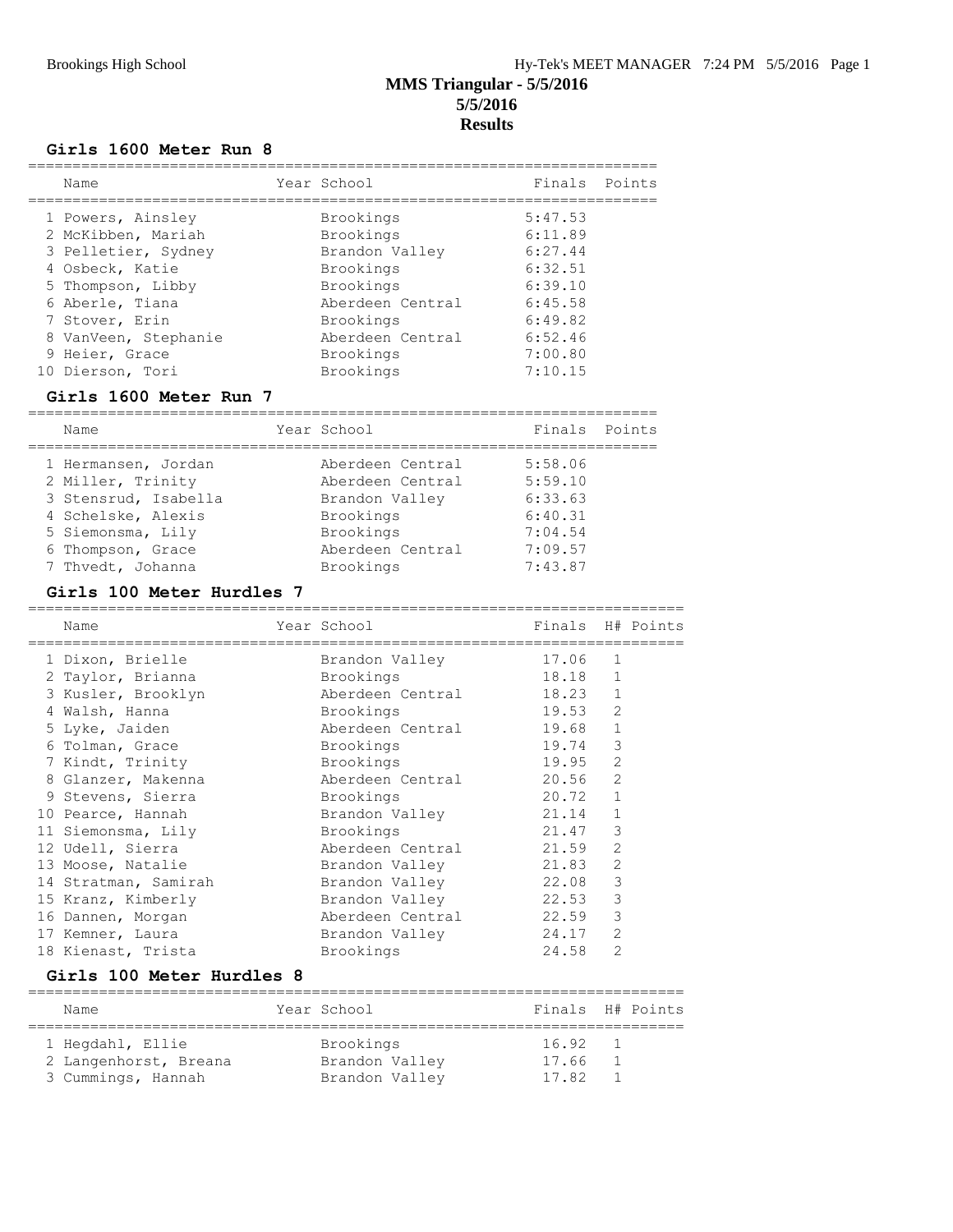#### **Girls 1600 Meter Run 8**

|  | Name                 | Year School      | Finals Points |  |
|--|----------------------|------------------|---------------|--|
|  | 1 Powers, Ainsley    | Brookings        | 5:47.53       |  |
|  | 2 McKibben, Mariah   | Brookings        | 6:11.89       |  |
|  | 3 Pelletier, Sydney  | Brandon Valley   | 6:27.44       |  |
|  | 4 Osbeck, Katie      | Brookings        | 6:32.51       |  |
|  | 5 Thompson, Libby    | Brookings        | 6:39.10       |  |
|  | 6 Aberle, Tiana      | Aberdeen Central | 6:45.58       |  |
|  | 7 Stover, Erin       | Brookings        | 6:49.82       |  |
|  | 8 VanVeen, Stephanie | Aberdeen Central | 6:52.46       |  |
|  | 9 Heier, Grace       | Brookings        | 7:00.80       |  |
|  | 10 Dierson, Tori     | Brookings        | 7:10.15       |  |
|  |                      |                  |               |  |

### **Girls 1600 Meter Run 7**

| Name                 | Year School      | Finals Points |  |
|----------------------|------------------|---------------|--|
| 1 Hermansen, Jordan  | Aberdeen Central | 5:58.06       |  |
| 2 Miller, Trinity    | Aberdeen Central | 5:59.10       |  |
| 3 Stensrud, Isabella | Brandon Valley   | 6:33.63       |  |
| 4 Schelske, Alexis   | Brookings        | 6:40.31       |  |
| 5 Siemonsma, Lily    | Brookings        | 7:04.54       |  |
| 6 Thompson, Grace    | Aberdeen Central | 7:09.57       |  |
| 7 Thvedt, Johanna    | Brookings        | 7:43.87       |  |

### **Girls 100 Meter Hurdles 7**

| Name                 | Year School      | Finals H# Points |                |  |
|----------------------|------------------|------------------|----------------|--|
| 1 Dixon, Brielle     | Brandon Valley   | 17.06            | 1              |  |
| 2 Taylor, Brianna    | Brookings        | 18.18            | 1              |  |
| 3 Kusler, Brooklyn   | Aberdeen Central | 18.23            | $\mathbf{1}$   |  |
| 4 Walsh, Hanna       | Brookings        | 19.53            | $\overline{2}$ |  |
| 5 Lyke, Jaiden       | Aberdeen Central | 19.68            | $\mathbf 1$    |  |
| 6 Tolman, Grace      | Brookings        | 19.74            | 3              |  |
| 7 Kindt, Trinity     | Brookings        | 19.95            | $\overline{2}$ |  |
| 8 Glanzer, Makenna   | Aberdeen Central | 20.56            | $\overline{2}$ |  |
| 9 Stevens, Sierra    | Brookings        | 20.72            | $\mathbf{1}$   |  |
| 10 Pearce, Hannah    | Brandon Valley   | 21.14            | $\mathbf{1}$   |  |
| 11 Siemonsma, Lily   | Brookings        | 21.47            | 3              |  |
| 12 Udell, Sierra     | Aberdeen Central | 21.59            | $\overline{2}$ |  |
| 13 Moose, Natalie    | Brandon Valley   | 21.83            | $\overline{2}$ |  |
| 14 Stratman, Samirah | Brandon Valley   | 22.08            | 3              |  |
| 15 Kranz, Kimberly   | Brandon Valley   | 22.53            | 3              |  |
| 16 Dannen, Morgan    | Aberdeen Central | 22.59            | 3              |  |
| 17 Kemner, Laura     | Brandon Valley   | 24.17            | 2              |  |
| 18 Kienast, Trista   | Brookings        | 24.58            | 2              |  |

### **Girls 100 Meter Hurdles 8**

| Name                  | Year School    | Finals H# Points |                |  |
|-----------------------|----------------|------------------|----------------|--|
| 1 Hegdahl, Ellie      | Brookings      | 16.92            | $\overline{1}$ |  |
| 2 Langenhorst, Breana | Brandon Valley | 17.66            |                |  |
| 3 Cummings, Hannah    | Brandon Valley | 17.82            |                |  |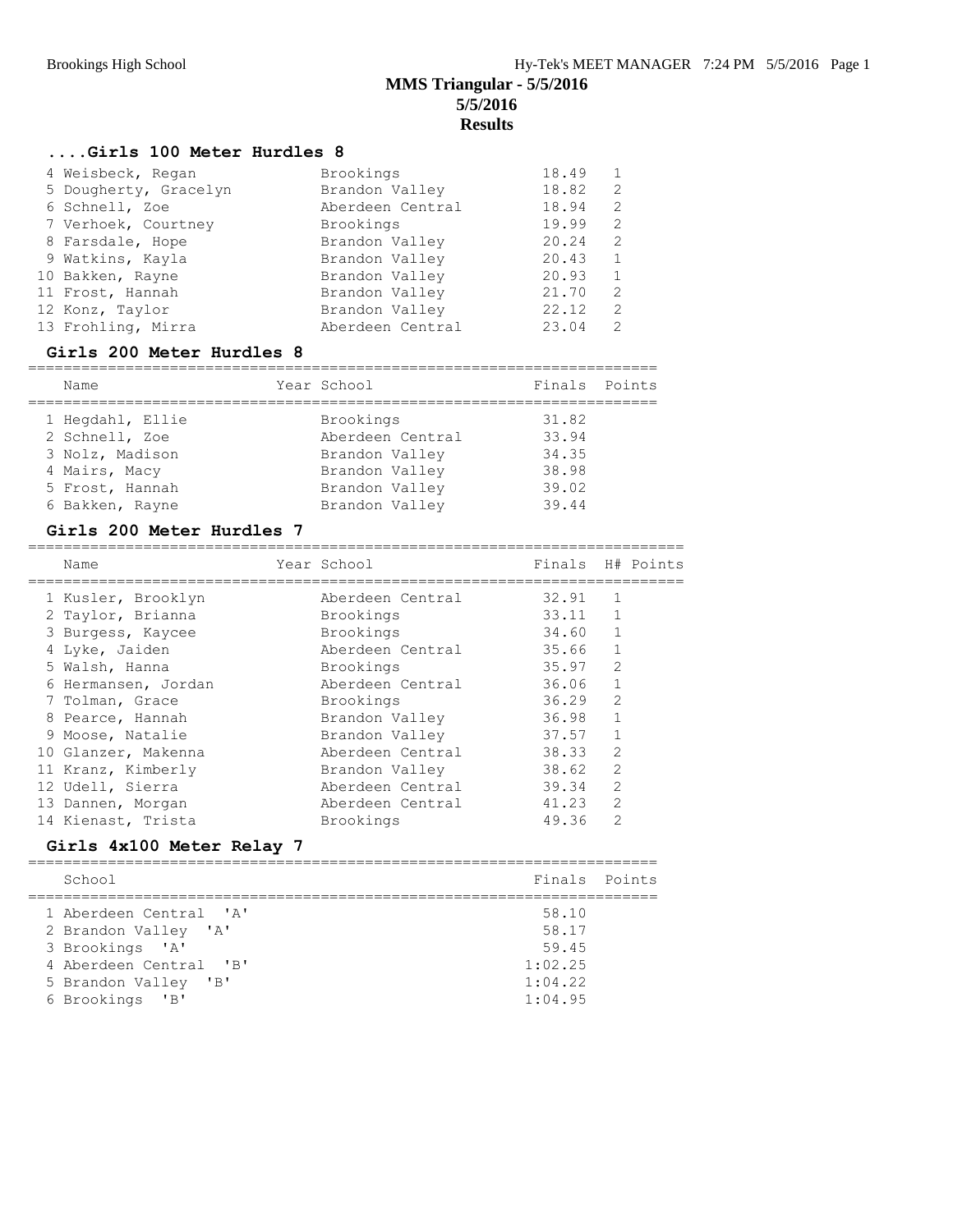### **....Girls 100 Meter Hurdles 8**

| 4 Weisbeck, Regan     | Brookings        | 18.49 |               |
|-----------------------|------------------|-------|---------------|
| 5 Dougherty, Gracelyn | Brandon Valley   | 18.82 | 2             |
| 6 Schnell, Zoe        | Aberdeen Central | 18.94 | 2             |
| 7 Verhoek, Courtney   | Brookings        | 19.99 | 2             |
| 8 Farsdale, Hope      | Brandon Valley   | 20.24 | 2             |
| 9 Watkins, Kayla      | Brandon Valley   | 20.43 | -1            |
| 10 Bakken, Rayne      | Brandon Valley   | 20.93 | 1             |
| 11 Frost, Hannah      | Brandon Valley   | 21.70 | 2             |
| 12 Konz, Taylor       | Brandon Valley   | 22.12 | $\mathcal{L}$ |
| 13 Frohling, Mirra    | Aberdeen Central | 23.04 | 2             |

#### **Girls 200 Meter Hurdles 8**

| Name             | Year School      | Finals Points |  |
|------------------|------------------|---------------|--|
|                  |                  |               |  |
| 1 Hegdahl, Ellie | Brookings        | 31.82         |  |
| 2 Schnell, Zoe   | Aberdeen Central | 33.94         |  |
| 3 Nolz, Madison  | Brandon Valley   | 34.35         |  |
| 4 Mairs, Macy    | Brandon Valley   | 38.98         |  |
| 5 Frost, Hannah  | Brandon Valley   | 39.02         |  |
| 6 Bakken, Rayne  | Brandon Valley   | 39.44         |  |

#### **Girls 200 Meter Hurdles 7**

| Name                | Year School      | Finals |                | H# Points |
|---------------------|------------------|--------|----------------|-----------|
| 1 Kusler, Brooklyn  | Aberdeen Central | 32.91  | $\mathbf{1}$   |           |
| 2 Taylor, Brianna   | Brookings        | 33.11  |                |           |
| 3 Burgess, Kaycee   | Brookings        | 34.60  | 1              |           |
| 4 Lyke, Jaiden      | Aberdeen Central | 35.66  | $\mathbf{1}$   |           |
| 5 Walsh, Hanna      | Brookings        | 35.97  | $\mathcal{L}$  |           |
| 6 Hermansen, Jordan | Aberdeen Central | 36.06  | 1              |           |
| 7 Tolman, Grace     | Brookings        | 36.29  | $\mathfrak{D}$ |           |
| 8 Pearce, Hannah    | Brandon Valley   | 36.98  | 1              |           |
| 9 Moose, Natalie    | Brandon Valley   | 37.57  | 1              |           |
| 10 Glanzer, Makenna | Aberdeen Central | 38.33  | $\overline{2}$ |           |
| 11 Kranz, Kimberly  | Brandon Valley   | 38.62  | $\mathfrak{D}$ |           |
| 12 Udell, Sierra    | Aberdeen Central | 39.34  | 2              |           |
| 13 Dannen, Morgan   | Aberdeen Central | 41.23  | $\mathcal{L}$  |           |
| 14 Kienast, Trista  | Brookings        | 49.36  | $\mathfrak{D}$ |           |

### **Girls 4x100 Meter Relay 7**

| School                 | Finals Points |  |
|------------------------|---------------|--|
| 1 Aberdeen Central 'A' | 58.10         |  |
| 2 Brandon Valley 'A'   | 58.17         |  |
| 3 Brookings 'A'        | 59.45         |  |
| 4 Aberdeen Central 'B' | 1:02.25       |  |
| 5 Brandon Valley 'B'   | 1:04.22       |  |
| 6 Brookings 'B'        | 1:04.95       |  |
|                        |               |  |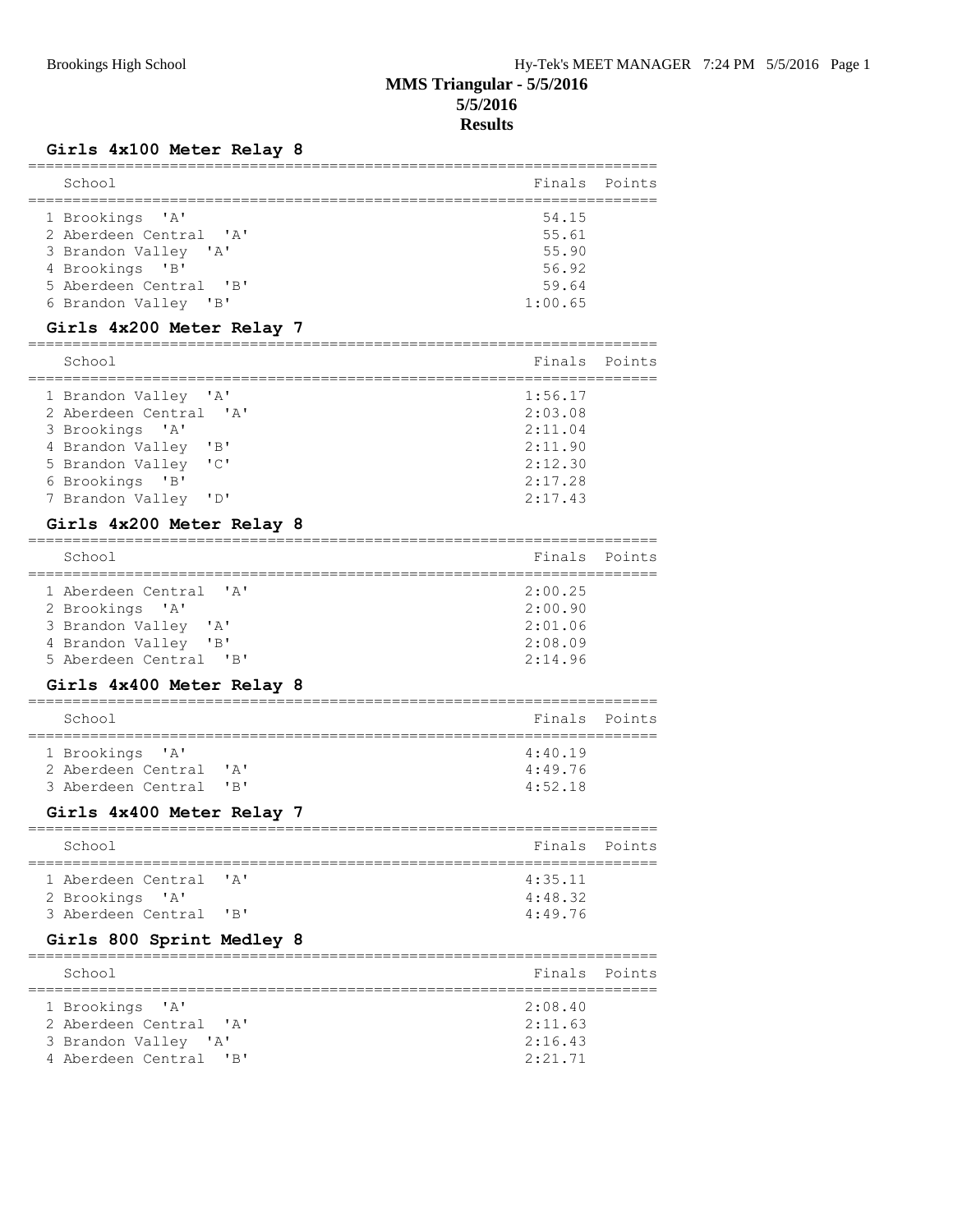### **Girls 4x100 Meter Relay 8**

| School                 | Finals Points |  |
|------------------------|---------------|--|
| 1 Brookings 'A'        | 54.15         |  |
| 2 Aberdeen Central 'A' | 55.61         |  |
| 3 Brandon Valley 'A'   | 55.90         |  |
| 4 Brookings 'B'        | 56.92         |  |
| 5 Aberdeen Central 'B' | 59.64         |  |
| 6 Brandon Valley 'B'   | 1:00.65       |  |
|                        |               |  |

### **Girls 4x200 Meter Relay 7**

| School                 | Finals Points |  |
|------------------------|---------------|--|
| 1 Brandon Valley 'A'   | 1:56.17       |  |
| 2 Aberdeen Central 'A' | 2:03.08       |  |
| 3 Brookings 'A'        | 2:11.04       |  |
| 4 Brandon Valley 'B'   | 2:11.90       |  |
| 5 Brandon Valley 'C'   | 2:12.30       |  |
| 6 Brookings 'B'        | 2:17.28       |  |
| 7 Brandon Valley 'D'   | 2:17.43       |  |

### **Girls 4x200 Meter Relay 8**

| School                                           | Finals Points |  |
|--------------------------------------------------|---------------|--|
| 1 Aberdeen Central 'A'                           | 2:00.25       |  |
| 2 Brookings 'A'                                  | 2:00.90       |  |
| 3 Brandon Valley 'A'                             | 2:01.06       |  |
| 4 Brandon Valley<br>$\overline{\phantom{a}}$ 'B' | 2:08.09       |  |
| 5 Aberdeen Central 'B'                           | 2:14.96       |  |
|                                                  |               |  |

### **Girls 4x400 Meter Relay 8**

| School                                    | Finals Points      |  |
|-------------------------------------------|--------------------|--|
| 1 Brookings 'A'<br>2 Aberdeen Central 'A' | 4:40.19<br>4:49.76 |  |
| 3 Aberdeen Central 'B'                    | 4:52.18            |  |

### **Girls 4x400 Meter Relay 7**

| School                                    | Finals Points      |  |
|-------------------------------------------|--------------------|--|
| 1 Aberdeen Central 'A'<br>2 Brookings 'A' | 4:35.11<br>4:48.32 |  |
| 3 Aberdeen Central 'B'                    | 4:49.76            |  |

### **Girls 800 Sprint Medley 8**

| School                                                                                      | Finals Points                            |  |
|---------------------------------------------------------------------------------------------|------------------------------------------|--|
| 1 Brookings 'A'<br>2 Aberdeen Central 'A'<br>3 Brandon Valley 'A'<br>4 Aberdeen Central 'B' | 2:08.40<br>2:11.63<br>2:16.43<br>2:21.71 |  |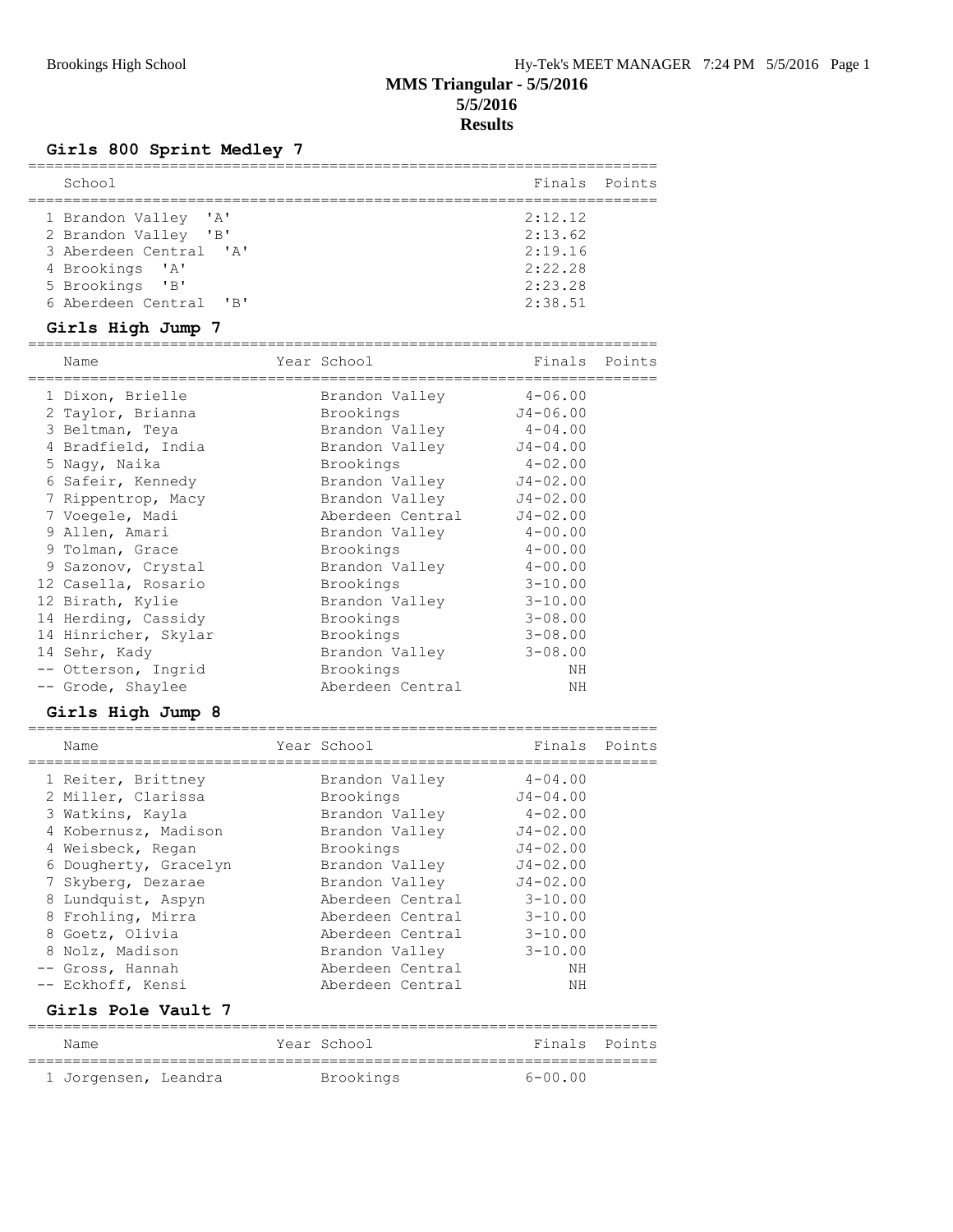# **Girls 800 Sprint Medley 7**

| School                                                                                                       | Finals Points                                       |  |
|--------------------------------------------------------------------------------------------------------------|-----------------------------------------------------|--|
| 1 Brandon Valley 'A'<br>2 Brandon Valley 'B'<br>3 Aberdeen Central 'A'<br>4 Brookings 'A'<br>5 Brookings 'B' | 2:12.12<br>2:13.62<br>2:19.16<br>2:22.28<br>2:23.28 |  |
| 6 Aberdeen Central 'B'                                                                                       | 2:38.51                                             |  |

# **Girls High Jump 7**

| Name                 | Year School      | Finals       | Points |
|----------------------|------------------|--------------|--------|
| 1 Dixon, Brielle     | Brandon Valley   | $4 - 06.00$  |        |
| 2 Taylor, Brianna    | Brookings        | $J4 - 06.00$ |        |
| 3 Beltman, Teya      | Brandon Valley   | $4 - 04.00$  |        |
| 4 Bradfield, India   | Brandon Valley   | $J4 - 04.00$ |        |
| 5 Naqy, Naika        | Brookings        | $4 - 02.00$  |        |
| 6 Safeir, Kennedy    | Brandon Valley   | $J4 - 02.00$ |        |
| 7 Rippentrop, Macy   | Brandon Valley   | $J4 - 02.00$ |        |
| 7 Voegele, Madi      | Aberdeen Central | $J4 - 02.00$ |        |
| 9 Allen, Amari       | Brandon Valley   | $4 - 00.00$  |        |
| 9 Tolman, Grace      | Brookings        | $4 - 00.00$  |        |
| 9 Sazonov, Crystal   | Brandon Valley   | $4 - 00.00$  |        |
| 12 Casella, Rosario  | Brookings        | $3 - 10.00$  |        |
| 12 Birath, Kylie     | Brandon Valley   | $3 - 10.00$  |        |
| 14 Herding, Cassidy  | Brookings        | $3 - 08.00$  |        |
| 14 Hinricher, Skylar | Brookings        | $3 - 08.00$  |        |
| 14 Sehr, Kady        | Brandon Valley   | $3 - 08.00$  |        |
| -- Otterson, Ingrid  | Brookings        | ΝH           |        |
| -- Grode, Shaylee    | Aberdeen Central | ΝH           |        |

## **Girls High Jump 8**

| Name                  | Year School      | Finals       | Points |
|-----------------------|------------------|--------------|--------|
| 1 Reiter, Brittney    | Brandon Valley   | $4 - 04.00$  |        |
| 2 Miller, Clarissa    | Brookings        | $J4 - 04.00$ |        |
| 3 Watkins, Kayla      | Brandon Valley   | $4 - 02.00$  |        |
| 4 Kobernusz, Madison  | Brandon Valley   | $J4 - 02.00$ |        |
| 4 Weisbeck, Regan     | Brookings        | $J4 - 02.00$ |        |
| 6 Dougherty, Gracelyn | Brandon Valley   | $J4 - 02.00$ |        |
| 7 Skyberg, Dezarae    | Brandon Valley   | $J4 - 02.00$ |        |
| 8 Lundquist, Aspyn    | Aberdeen Central | $3 - 10.00$  |        |
| 8 Frohling, Mirra     | Aberdeen Central | $3 - 10.00$  |        |
| 8 Goetz, Olivia       | Aberdeen Central | $3 - 10.00$  |        |
| 8 Nolz, Madison       | Brandon Valley   | $3 - 10.00$  |        |
| -- Gross, Hannah      | Aberdeen Central | NΗ           |        |
| -- Eckhoff, Kensi     | Aberdeen Central | ΝH           |        |

### **Girls Pole Vault 7**

| Name                 |  | Year School | Finals Points |  |
|----------------------|--|-------------|---------------|--|
| 1 Jorgensen, Leandra |  | Brookings   | $6 - 00.00$   |  |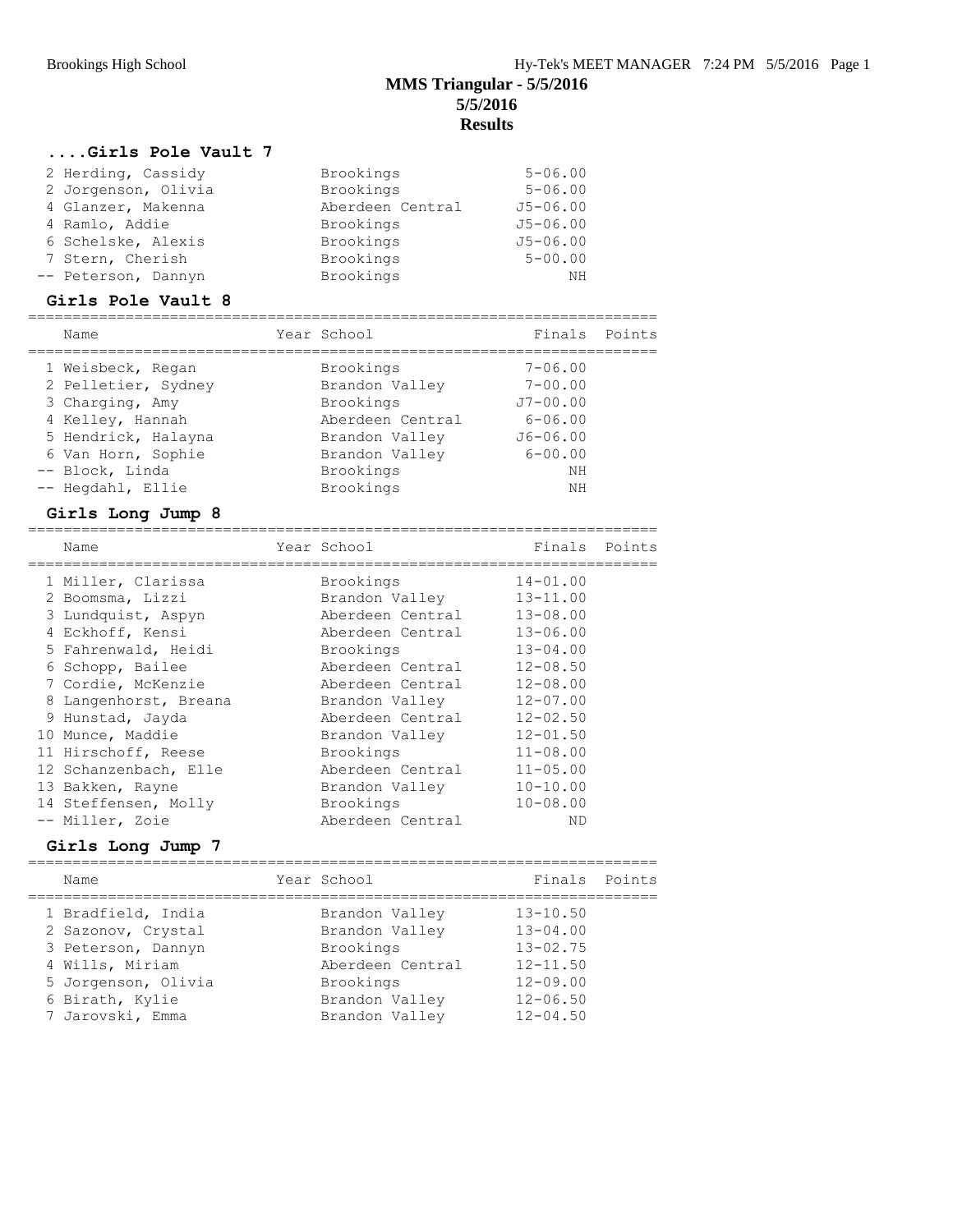### **....Girls Pole Vault 7**

| 2 Herding, Cassidy  | Brookings        | $5 - 06.00$  |
|---------------------|------------------|--------------|
| 2 Jorgenson, Olivia | Brookings        | $5 - 06.00$  |
| 4 Glanzer, Makenna  | Aberdeen Central | $J5 - 06.00$ |
| 4 Ramlo, Addie      | Brookings        | $J5 - 06.00$ |
| 6 Schelske, Alexis  | Brookings        | $J5 - 06.00$ |
| 7 Stern, Cherish    | Brookings        | $5 - 00.00$  |
| -- Peterson, Dannyn | Brookings        | NΗ           |

#### **Girls Pole Vault 8**

| Name                | Year School      | Finals Points |  |
|---------------------|------------------|---------------|--|
| 1 Weisbeck, Regan   | Brookings        | $7 - 06.00$   |  |
| 2 Pelletier, Sydney | Brandon Valley   | $7 - 00.00$   |  |
| 3 Charging, Amy     | Brookings        | $J7 - 00.00$  |  |
| 4 Kelley, Hannah    | Aberdeen Central | $6 - 06.00$   |  |
| 5 Hendrick, Halayna | Brandon Valley   | $J6 - 06.00$  |  |
| 6 Van Horn, Sophie  | Brandon Valley   | $6 - 00.00$   |  |
| -- Block, Linda     | Brookings        | NΗ            |  |
| -- Hegdahl, Ellie   | Brookings        | NΗ            |  |

### **Girls Long Jump 8**

| Name                  | Year School      | Finals       | Points |
|-----------------------|------------------|--------------|--------|
| 1 Miller, Clarissa    | Brookings        | $14 - 01.00$ |        |
| 2 Boomsma, Lizzi      | Brandon Valley   | $13 - 11.00$ |        |
| 3 Lundquist, Aspyn    | Aberdeen Central | $13 - 08.00$ |        |
| 4 Eckhoff, Kensi      | Aberdeen Central | $13 - 06.00$ |        |
| 5 Fahrenwald, Heidi   | Brookings        | $13 - 04.00$ |        |
| 6 Schopp, Bailee      | Aberdeen Central | $12 - 08.50$ |        |
| 7 Cordie, McKenzie    | Aberdeen Central | $12 - 08.00$ |        |
| 8 Langenhorst, Breana | Brandon Valley   | $12 - 07.00$ |        |
| 9 Hunstad, Jayda      | Aberdeen Central | $12 - 02.50$ |        |
| 10 Munce, Maddie      | Brandon Valley   | $12 - 01.50$ |        |
| 11 Hirschoff, Reese   | Brookings        | $11 - 08.00$ |        |
| 12 Schanzenbach, Elle | Aberdeen Central | $11 - 05.00$ |        |
| 13 Bakken, Rayne      | Brandon Valley   | $10 - 10.00$ |        |
| 14 Steffensen, Molly  | Brookings        | $10 - 08.00$ |        |
| -- Miller, Zoie       | Aberdeen Central | ΝD           |        |

### **Girls Long Jump 7**

| Name                                     | Year School                      | Finals Points                |  |
|------------------------------------------|----------------------------------|------------------------------|--|
| 1 Bradfield, India                       | Brandon Valley                   | $13 - 10.50$                 |  |
| 2 Sazonov, Crystal<br>3 Peterson, Dannyn | Brandon Valley<br>Brookings      | $13 - 04.00$<br>$13 - 02.75$ |  |
| 4 Wills, Miriam                          | Aberdeen Central                 | $12 - 11.50$                 |  |
| 5 Jorgenson, Olivia                      | Brookings                        | $12 - 09.00$                 |  |
| 6 Birath, Kylie<br>7 Jarovski, Emma      | Brandon Valley<br>Brandon Valley | $12 - 06.50$<br>$12 - 04.50$ |  |
|                                          |                                  |                              |  |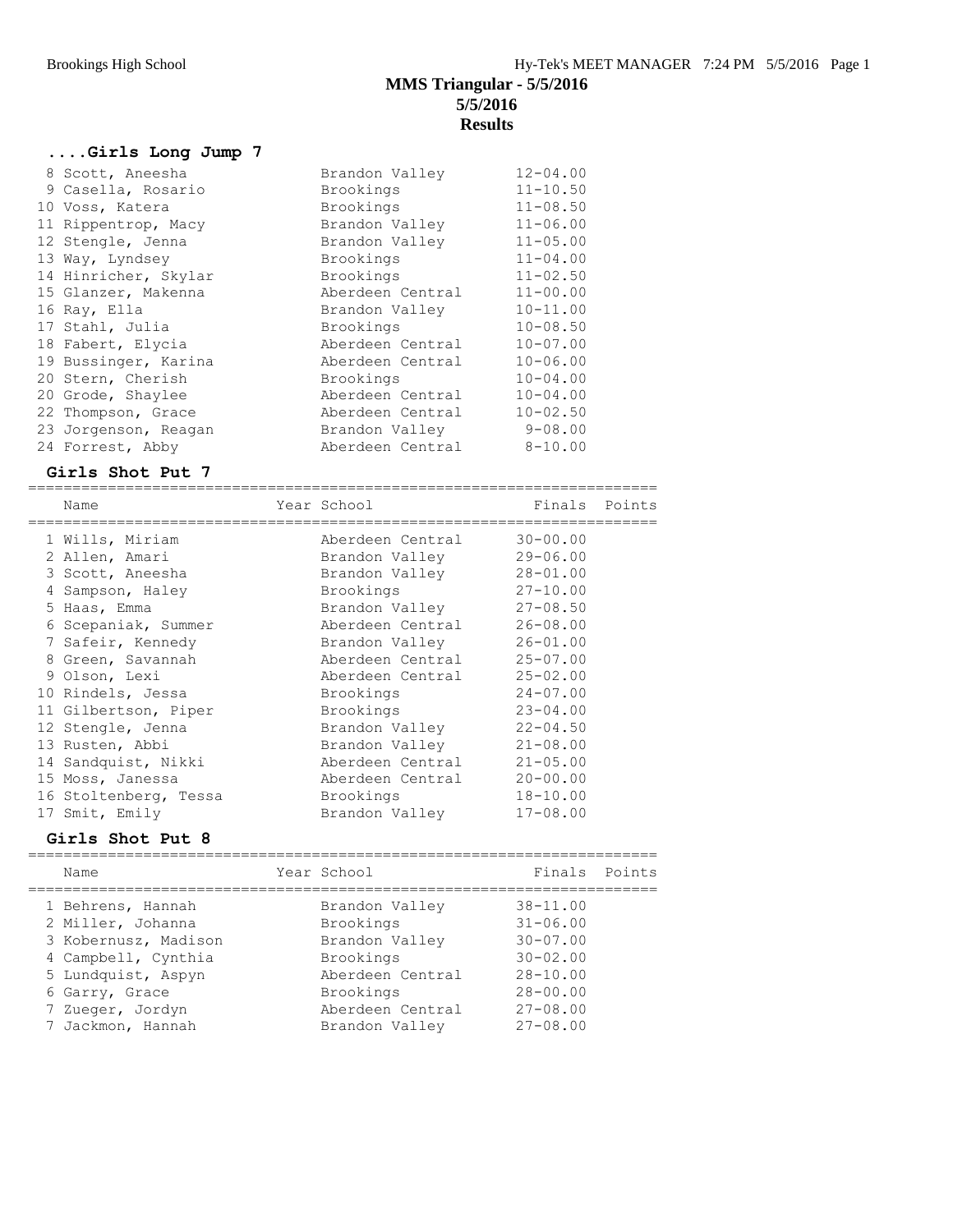## **....Girls Long Jump 7**

| 8 Scott, Aneesha     | Brandon Valley   | $12 - 04.00$ |
|----------------------|------------------|--------------|
| 9 Casella, Rosario   | Brookings        | $11 - 10.50$ |
| 10 Voss, Katera      | Brookings        | $11 - 08.50$ |
| 11 Rippentrop, Macy  | Brandon Valley   | $11 - 06.00$ |
| 12 Stengle, Jenna    | Brandon Valley   | $11 - 05.00$ |
| 13 Way, Lyndsey      | Brookings        | $11 - 04.00$ |
| 14 Hinricher, Skylar | Brookings        | $11 - 02.50$ |
| 15 Glanzer, Makenna  | Aberdeen Central | $11 - 00.00$ |
| 16 Ray, Ella         | Brandon Valley   | $10 - 11.00$ |
| 17 Stahl, Julia      | Brookings        | $10 - 08.50$ |
| 18 Fabert, Elycia    | Aberdeen Central | $10 - 07.00$ |
| 19 Bussinger, Karina | Aberdeen Central | $10 - 06.00$ |
| 20 Stern, Cherish    | Brookings        | $10 - 04.00$ |
| 20 Grode, Shaylee    | Aberdeen Central | $10 - 04.00$ |
| 22 Thompson, Grace   | Aberdeen Central | $10 - 02.50$ |
| 23 Jorgenson, Reagan | Brandon Valley   | $9 - 08.00$  |
| 24 Forrest, Abby     | Aberdeen Central | $8 - 10.00$  |

### **Girls Shot Put 7**

| Name                  | Year School      | Finals Points |  |
|-----------------------|------------------|---------------|--|
| 1 Wills, Miriam       | Aberdeen Central | $30 - 00.00$  |  |
| 2 Allen, Amari        | Brandon Valley   | $29 - 06.00$  |  |
| 3 Scott, Aneesha      | Brandon Valley   | $28 - 01.00$  |  |
| 4 Sampson, Haley      | Brookings        | $27 - 10.00$  |  |
| 5 Haas, Emma          | Brandon Valley   | $27 - 08.50$  |  |
| 6 Scepaniak, Summer   | Aberdeen Central | $26 - 08.00$  |  |
| 7 Safeir, Kennedy     | Brandon Valley   | $26 - 01.00$  |  |
| 8 Green, Savannah     | Aberdeen Central | $25 - 07.00$  |  |
| 9 Olson, Lexi         | Aberdeen Central | $25 - 02.00$  |  |
| 10 Rindels, Jessa     | Brookings        | $24 - 07.00$  |  |
| 11 Gilbertson, Piper  | Brookings        | $23 - 04.00$  |  |
| 12 Stengle, Jenna     | Brandon Valley   | $22 - 04.50$  |  |
| 13 Rusten, Abbi       | Brandon Valley   | $21 - 08.00$  |  |
| 14 Sandquist, Nikki   | Aberdeen Central | $21 - 05.00$  |  |
| 15 Moss, Janessa      | Aberdeen Central | $20 - 00.00$  |  |
| 16 Stoltenberg, Tessa | Brookings        | $18 - 10.00$  |  |
| 17 Smit, Emily        | Brandon Valley   | $17 - 08.00$  |  |

### **Girls Shot Put 8**

| Name                 | Year School      | Finals Points |  |
|----------------------|------------------|---------------|--|
| 1 Behrens, Hannah    | Brandon Valley   | $38 - 11.00$  |  |
| 2 Miller, Johanna    | Brookings        | $31 - 06.00$  |  |
| 3 Kobernusz, Madison | Brandon Valley   | $30 - 07.00$  |  |
| 4 Campbell, Cynthia  | Brookings        | $30 - 02.00$  |  |
| 5 Lundquist, Aspyn   | Aberdeen Central | $28 - 10.00$  |  |
| 6 Garry, Grace       | Brookings        | $28 - 00.00$  |  |
| 7 Zueger, Jordyn     | Aberdeen Central | $27 - 08.00$  |  |
| 7 Jackmon, Hannah    | Brandon Valley   | $27 - 08.00$  |  |
|                      |                  |               |  |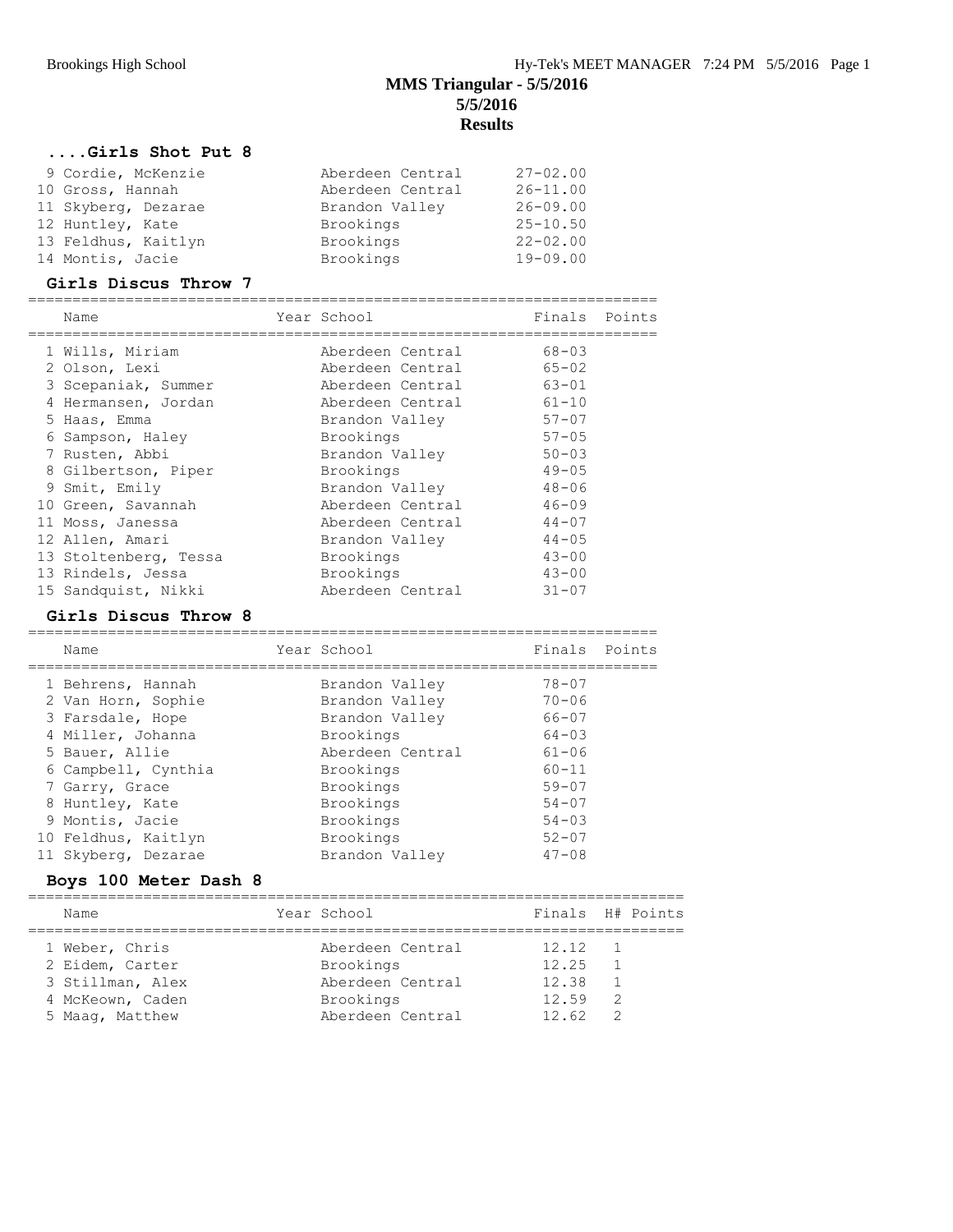#### **....Girls Shot Put 8**

| 9 Cordie, McKenzie  | Aberdeen Central | $27 - 02.00$ |
|---------------------|------------------|--------------|
| 10 Gross, Hannah    | Aberdeen Central | $26 - 11.00$ |
| 11 Skyberg, Dezarae | Brandon Valley   | $26 - 09.00$ |
| 12 Huntley, Kate    | Brookings        | $25 - 10.50$ |
| 13 Feldhus, Kaitlyn | Brookings        | $22 - 02.00$ |
| 14 Montis, Jacie    | Brookings        | $19 - 09.00$ |

#### **Girls Discus Throw 7**

| Name                  | Year School      | Finals    | Points |
|-----------------------|------------------|-----------|--------|
| 1 Wills, Miriam       | Aberdeen Central | $68 - 03$ |        |
| 2 Olson, Lexi         | Aberdeen Central | $65 - 02$ |        |
| 3 Scepaniak, Summer   | Aberdeen Central | $63 - 01$ |        |
| 4 Hermansen, Jordan   | Aberdeen Central | $61 - 10$ |        |
| 5 Haas, Emma          | Brandon Valley   | $57 - 07$ |        |
| 6 Sampson, Haley      | Brookings        | $57 - 05$ |        |
| 7 Rusten, Abbi        | Brandon Valley   | $50 - 03$ |        |
| 8 Gilbertson, Piper   | Brookings        | $49 - 05$ |        |
| 9 Smit, Emily         | Brandon Valley   | $48 - 06$ |        |
| 10 Green, Savannah    | Aberdeen Central | $46 - 09$ |        |
| 11 Moss, Janessa      | Aberdeen Central | $44 - 07$ |        |
| 12 Allen, Amari       | Brandon Valley   | $44 - 05$ |        |
| 13 Stoltenberg, Tessa | Brookings        | $43 - 00$ |        |
| 13 Rindels, Jessa     | Brookings        | $43 - 00$ |        |
| 15 Sandquist, Nikki   | Aberdeen Central | $31 - 07$ |        |

#### **Girls Discus Throw 8**

======================================================================= Name Year School Finals Points ======================================================================= 1 Behrens, Hannah Brandon Valley 78-07 2 Van Horn, Sophie Brandon Valley 70-06 3 Farsdale, Hope Brandon Valley 66-07 4 Miller, Johanna Brookings 64-03 5 Bauer, Allie Aberdeen Central 61-06 6 Campbell, Cynthia Brookings 60-11 7 Garry, Grace **Brookings** 59-07 8 Huntley, Kate Brookings 54-07 9 Montis, Jacie Brookings 54-03 10 Feldhus, Kaitlyn Brookings 52-07 11 Skyberg, Dezarae Brandon Valley 47-08

#### **Boys 100 Meter Dash 8**

| Name                                                  | Year School                                       | Finals H# Points                |
|-------------------------------------------------------|---------------------------------------------------|---------------------------------|
| 1 Weber, Chris<br>2 Eidem, Carter<br>3 Stillman, Alex | Aberdeen Central<br>Brookings<br>Aberdeen Central | 12.12<br>12.25<br>12.38         |
| 4 McKeown, Caden<br>5 Maaq, Matthew                   | Brookings<br>Aberdeen Central                     | 12.59<br>$\mathcal{P}$<br>12.62 |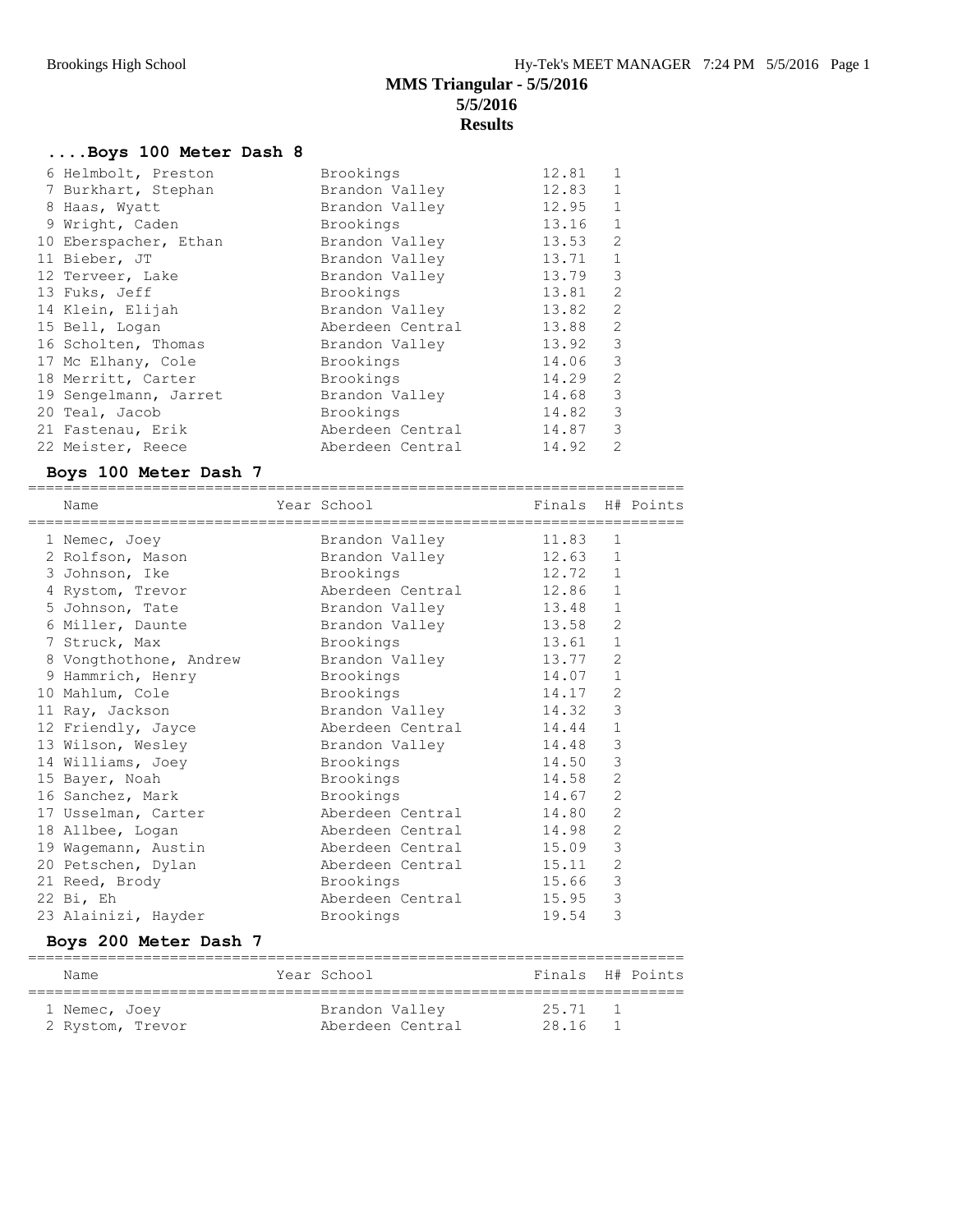## **....Boys 100 Meter Dash 8**

| 6 Helmbolt, Preston   | Brookings        | 12.81 | $\mathbf{1}$   |
|-----------------------|------------------|-------|----------------|
| 7 Burkhart, Stephan   | Brandon Valley   | 12.83 | $\mathbf{1}$   |
| 8 Haas, Wyatt         | Brandon Valley   | 12.95 | $\mathbf{1}$   |
| 9 Wright, Caden       | Brookings        | 13.16 | $\mathbf{1}$   |
| 10 Eberspacher, Ethan | Brandon Valley   | 13.53 | $\overline{2}$ |
| 11 Bieber, JT         | Brandon Valley   | 13.71 | $\mathbf 1$    |
| 12 Terveer, Lake      | Brandon Valley   | 13.79 | 3              |
| 13 Fuks, Jeff         | Brookings        | 13.81 | 2              |
| 14 Klein, Elijah      | Brandon Valley   | 13.82 | 2              |
| 15 Bell, Logan        | Aberdeen Central | 13.88 | 2              |
| 16 Scholten, Thomas   | Brandon Valley   | 13.92 | $\mathcal{S}$  |
| 17 Mc Elhany, Cole    | Brookings        | 14.06 | 3              |
| 18 Merritt, Carter    | Brookings        | 14.29 | 2              |
| 19 Sengelmann, Jarret | Brandon Valley   | 14.68 | 3              |
| 20 Teal, Jacob        | Brookings        | 14.82 | 3              |
| 21 Fastenau, Erik     | Aberdeen Central | 14.87 | 3              |
| 22 Meister, Reece     | Aberdeen Central | 14.92 | $\mathfrak{D}$ |
|                       |                  |       |                |

### **Boys 100 Meter Dash 7**

| boys 100 meter basil /                  |                                            |       |                |                  |
|-----------------------------------------|--------------------------------------------|-------|----------------|------------------|
| Name                                    | Year School<br>=========================== |       |                | Finals H# Points |
| ======================<br>1 Nemec, Joey | Brandon Valley                             | 11.83 | 1              |                  |
| 2 Rolfson, Mason                        | Brandon Valley                             | 12.63 | $\mathbf{1}$   |                  |
| 3 Johnson, Ike                          | Brookings                                  | 12.72 | $\mathbf{1}$   |                  |
| 4 Rystom, Trevor                        | Aberdeen Central                           | 12.86 | $\mathbf{1}$   |                  |
| 5 Johnson, Tate                         | Brandon Valley                             | 13.48 | $\mathbf{1}$   |                  |
| 6 Miller, Daunte                        | Brandon Valley                             | 13.58 | $\overline{2}$ |                  |
| 7 Struck, Max                           | Brookings                                  | 13.61 | $\mathbf 1$    |                  |
| 8 Vongthothone, Andrew                  | Brandon Valley                             | 13.77 | $\overline{2}$ |                  |
| 9 Hammrich, Henry                       | Brookings                                  | 14.07 | $\mathbf{1}$   |                  |
| 10 Mahlum, Cole                         | Brookings                                  | 14.17 | 2              |                  |
| 11 Ray, Jackson                         | Brandon Valley                             | 14.32 | 3              |                  |
| 12 Friendly, Jayce                      | Aberdeen Central                           | 14.44 | $\mathbf 1$    |                  |
| 13 Wilson, Wesley                       | Brandon Valley                             | 14.48 | 3              |                  |
| 14 Williams, Joey                       | Brookings                                  | 14.50 | 3              |                  |
| 15 Bayer, Noah                          | Brookings                                  | 14.58 | $\overline{2}$ |                  |
| 16 Sanchez, Mark                        | Brookings                                  | 14.67 | 2              |                  |
| 17 Usselman, Carter                     | Aberdeen Central                           | 14.80 | $\overline{2}$ |                  |
| 18 Allbee, Logan                        | Aberdeen Central                           | 14.98 | $\overline{2}$ |                  |
| 19 Wagemann, Austin                     | Aberdeen Central                           | 15.09 | 3              |                  |
| 20 Petschen, Dylan                      | Aberdeen Central                           | 15.11 | $\overline{2}$ |                  |
| 21 Reed, Brody                          | Brookings                                  | 15.66 | $\mathcal{S}$  |                  |
| $22$ Bi, Eh                             | Aberdeen Central                           | 15.95 | 3              |                  |
| 23 Alainizi, Hayder                     | Brookings                                  | 19.54 | 3              |                  |

### **Boys 200 Meter Dash 7**

| Name             | Year School      |         | Finals H# Points |
|------------------|------------------|---------|------------------|
| 1 Nemec, Joey    | Brandon Valley   | 25.71 1 |                  |
| 2 Rystom, Trevor | Aberdeen Central | 28.16   |                  |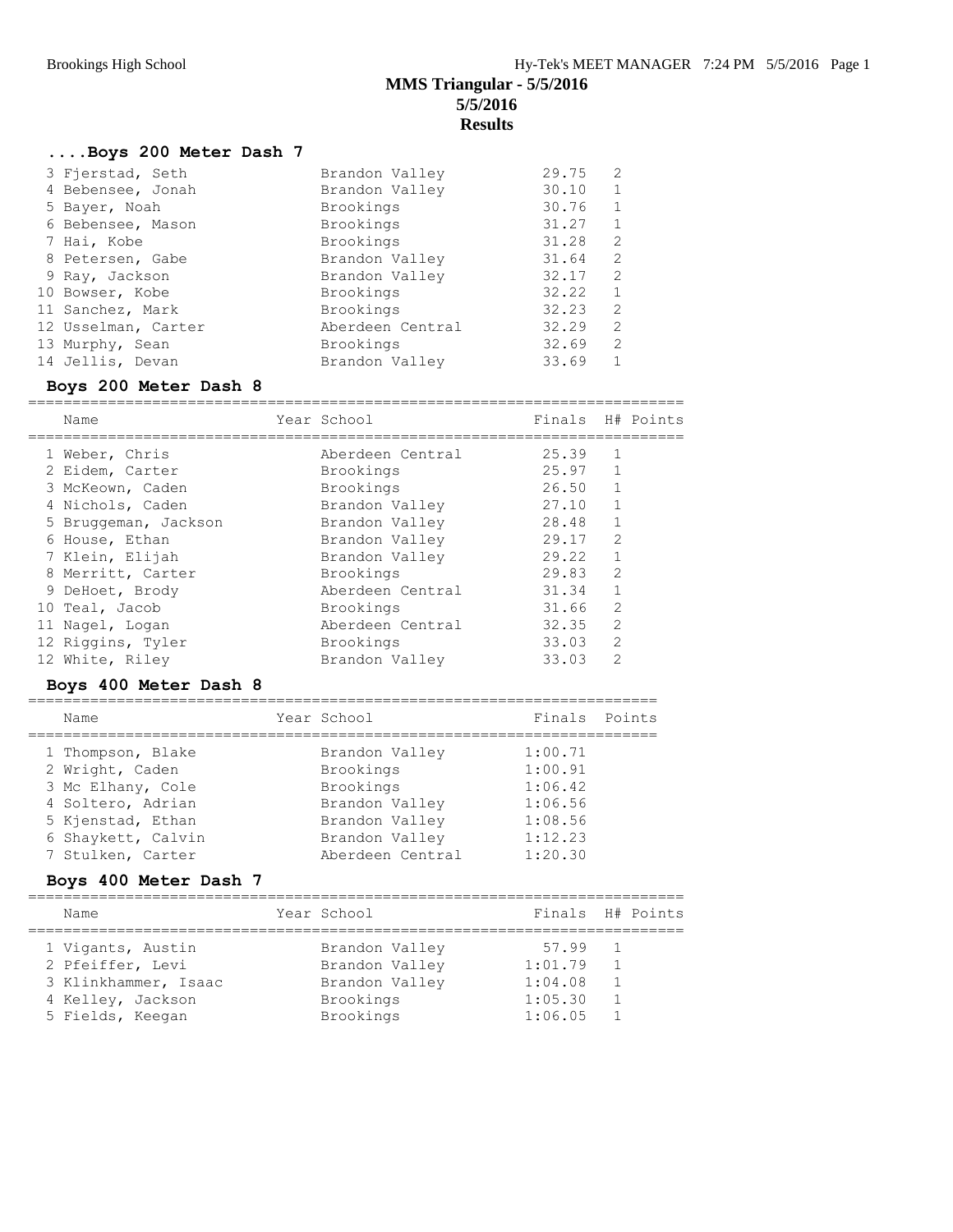## **....Boys 200 Meter Dash 7**

| 3 Fjerstad, Seth    | Brandon Valley   | 29.75 | 2            |
|---------------------|------------------|-------|--------------|
| 4 Bebensee, Jonah   | Brandon Valley   | 30.10 | 1            |
| 5 Bayer, Noah       | Brookings        | 30.76 | 1            |
| 6 Bebensee, Mason   | Brookings        | 31.27 | 1            |
| 7 Hai, Kobe         | Brookings        | 31.28 | 2            |
| 8 Petersen, Gabe    | Brandon Valley   | 31.64 | 2            |
| 9 Ray, Jackson      | Brandon Valley   | 32.17 | 2            |
| 10 Bowser, Kobe     | Brookings        | 32.22 | $\mathbf{1}$ |
| 11 Sanchez, Mark    | Brookings        | 32.23 | 2            |
| 12 Usselman, Carter | Aberdeen Central | 32.29 | 2            |
| 13 Murphy, Sean     | Brookings        | 32.69 | 2            |
| 14 Jellis, Devan    | Brandon Valley   | 33.69 |              |

### **Boys 200 Meter Dash 8**

| Name                 | Year School      | Finals H# Points |                |  |
|----------------------|------------------|------------------|----------------|--|
| 1 Weber, Chris       | Aberdeen Central | 25.39            | -1             |  |
| 2 Eidem, Carter      | Brookings        | 25.97            | 1              |  |
| 3 McKeown, Caden     | Brookings        | 26.50            | $\overline{1}$ |  |
| 4 Nichols, Caden     | Brandon Valley   | 27.10            | 1              |  |
| 5 Bruggeman, Jackson | Brandon Valley   | 28.48            | $\mathbf{1}$   |  |
| 6 House, Ethan       | Brandon Valley   | 29.17            | $\mathcal{L}$  |  |
| 7 Klein, Elijah      | Brandon Valley   | 29.22            | 1              |  |
| 8 Merritt, Carter    | Brookings        | 29.83            | 2              |  |
| 9 DeHoet, Brody      | Aberdeen Central | 31.34            | $\mathbf{1}$   |  |
| 10 Teal, Jacob       | Brookings        | 31.66            | 2              |  |
| 11 Nagel, Logan      | Aberdeen Central | 32.35            | $\mathcal{L}$  |  |
| 12 Riggins, Tyler    | Brookings        | 33.03            | 2              |  |
| 12 White, Riley      | Brandon Valley   | 33.03            | $\mathcal{D}$  |  |

### **Boys 400 Meter Dash 8**

| Name               | Year School      | Finals Points |  |
|--------------------|------------------|---------------|--|
| 1 Thompson, Blake  | Brandon Valley   | 1:00.71       |  |
| 2 Wright, Caden    | Brookings        | 1:00.91       |  |
| 3 Mc Elhany, Cole  | Brookings        | 1:06.42       |  |
| 4 Soltero, Adrian  | Brandon Valley   | 1:06.56       |  |
| 5 Kjenstad, Ethan  | Brandon Valley   | 1:08.56       |  |
| 6 Shaykett, Calvin | Brandon Valley   | 1:12.23       |  |
| 7 Stulken, Carter  | Aberdeen Central | 1:20.30       |  |

### **Boys 400 Meter Dash 7**

| Name                 | Year School    | Finals H# Points |  |
|----------------------|----------------|------------------|--|
| 1 Vigants, Austin    | Brandon Valley | 57.99            |  |
| 2 Pfeiffer, Levi     | Brandon Valley | 1:01.79          |  |
| 3 Klinkhammer, Isaac | Brandon Valley | 1:04.08          |  |
| 4 Kelley, Jackson    | Brookings      | 1:05.30          |  |
| 5 Fields, Keegan     | Brookings      | 1:06.05          |  |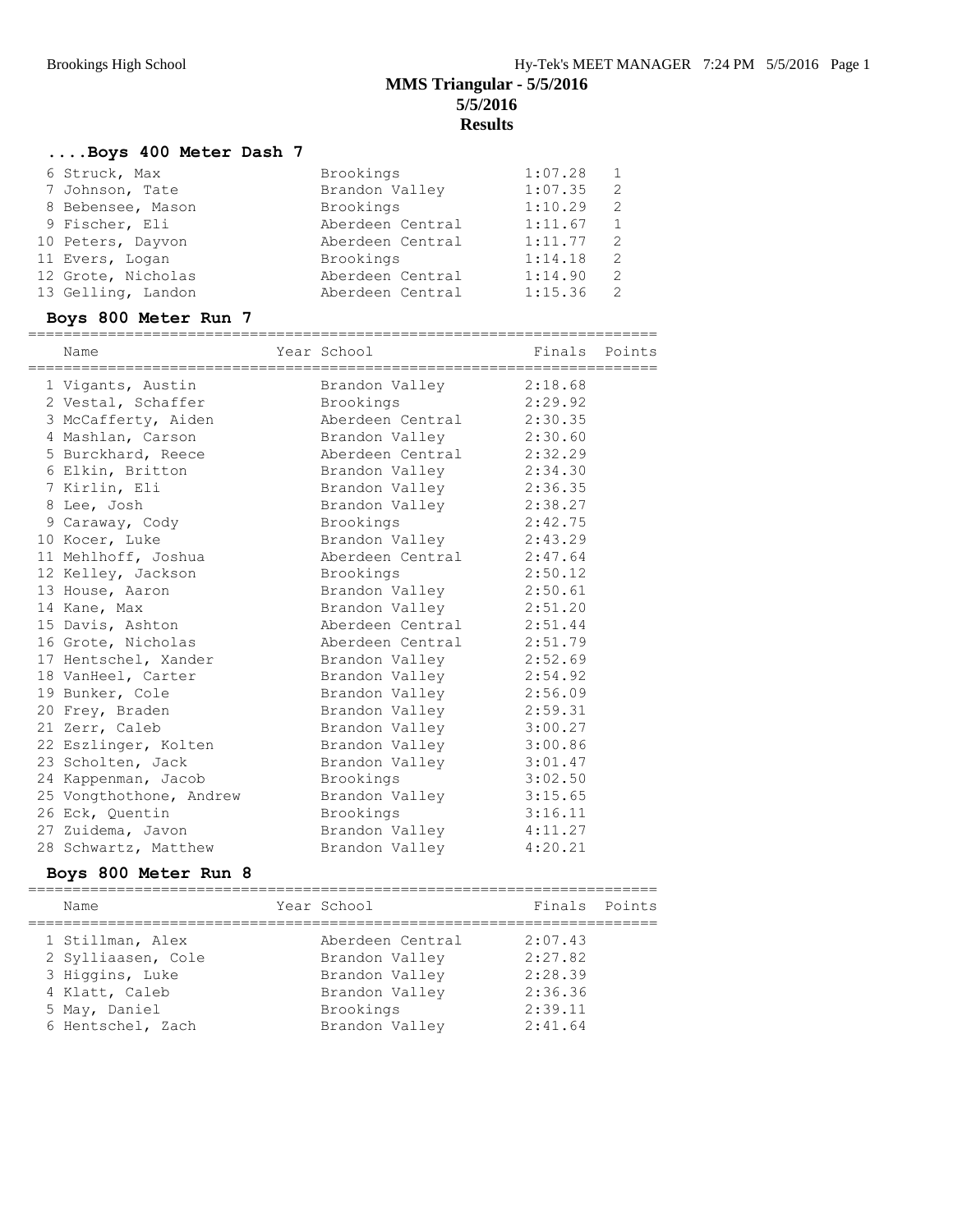## **....Boys 400 Meter Dash 7**

| 6 Struck, Max      | Brookings        | 1:07.28 |               |
|--------------------|------------------|---------|---------------|
| 7 Johnson, Tate    | Brandon Valley   | 1:07.35 | 2             |
| 8 Bebensee, Mason  | Brookings        | 1:10.29 |               |
| 9 Fischer, Eli     | Aberdeen Central | 1:11.67 |               |
| 10 Peters, Dayvon  | Aberdeen Central | 1:11.77 | $\mathcal{L}$ |
| 11 Evers, Logan    | Brookings        | 1:14.18 | $\mathcal{L}$ |
| 12 Grote, Nicholas | Aberdeen Central | 1:14.90 | $\mathcal{L}$ |
| 13 Gelling, Landon | Aberdeen Central | 1:15.36 |               |

## **Boys 800 Meter Run 7**

|  | Name                                        | Year School                                        | Finals Points |  |
|--|---------------------------------------------|----------------------------------------------------|---------------|--|
|  |                                             |                                                    |               |  |
|  | 1 Vigants, Austin<br>2 Vestal, Schaffer     | Brandon Valley 2:18.68<br>Brookings 2:29.92        |               |  |
|  | 3 McCafferty, Aiden                         | Aberdeen Central 2:30.35                           |               |  |
|  |                                             |                                                    |               |  |
|  | 4 Mashlan, Carson                           | Brandon Valley 2:30.60<br>Aberdeen Central 2:32.29 |               |  |
|  | 5 Burckhard, Reece                          |                                                    |               |  |
|  | 6 Elkin, Britton                            | Brandon Valley 2:34.30                             |               |  |
|  | 7 Kirlin, Eli                               | Brandon Valley 2:36.35                             |               |  |
|  | 8 Lee, Josh                                 | Brandon Valley 2:38.27                             |               |  |
|  | 9 Caraway, Cody                             | Brookings                                          | 2:42.75       |  |
|  | 10 Kocer, Luke                              | Brandon Valley 2:43.29                             |               |  |
|  | 11 Mehlhoff, Joshua                         | Aberdeen Central 2:47.64                           |               |  |
|  | 12 Kelley, Jackson                          | Brookings                                          | 2:50.12       |  |
|  | 13 House, Aaron                             | Brandon Valley 2:50.61                             |               |  |
|  | 14 Kane, Max                                | Brandon Valley 2:51.20                             |               |  |
|  | 15 Davis, Ashton                            | Aberdeen Central 2:51.44                           |               |  |
|  | 16 Grote, Nicholas                          | Aberdeen Central 2:51.79                           |               |  |
|  | 17 Hentschel, Xander                        | Brandon Valley                                     | 2:52.69       |  |
|  | 18 VanHeel, Carter                          | Brandon Valley 2:54.92                             |               |  |
|  | 19 Bunker, Cole                             | Brandon Valley                                     | 2:56.09       |  |
|  | 20 Frey, Braden                             | Brandon Valley 2:59.31                             |               |  |
|  | 21 Zerr, Caleb                              | Brandon Valley 3:00.27                             |               |  |
|  | 22 Eszlinger, Kolten brandon Valley 3:00.86 |                                                    |               |  |
|  | 23 Scholten, Jack                           | Brandon Valley 3:01.47                             |               |  |
|  | 24 Kappenman, Jacob                         | Brookings                                          | 3:02.50       |  |
|  | 25 Vongthothone, Andrew                     | Brandon Valley 3:15.65                             |               |  |
|  | 26 Eck, Quentin                             | Brookings                                          | 3:16.11       |  |
|  | 27 Zuidema, Javon                           | Brandon Valley 4:11.27                             |               |  |
|  | 28 Schwartz, Matthew                        | Brandon Valley                                     | 4:20.21       |  |
|  |                                             |                                                    |               |  |

### **Boys 800 Meter Run 8**

| Name               | Year School      | Finals Points |  |
|--------------------|------------------|---------------|--|
| 1 Stillman, Alex   | Aberdeen Central | 2:07.43       |  |
| 2 Sylliaasen, Cole | Brandon Valley   | 2:27.82       |  |
| 3 Higgins, Luke    | Brandon Valley   | 2:28.39       |  |
| 4 Klatt, Caleb     | Brandon Valley   | 2:36.36       |  |
| 5 May, Daniel      | Brookings        | 2:39.11       |  |
| 6 Hentschel, Zach  | Brandon Valley   | 2:41.64       |  |
|                    |                  |               |  |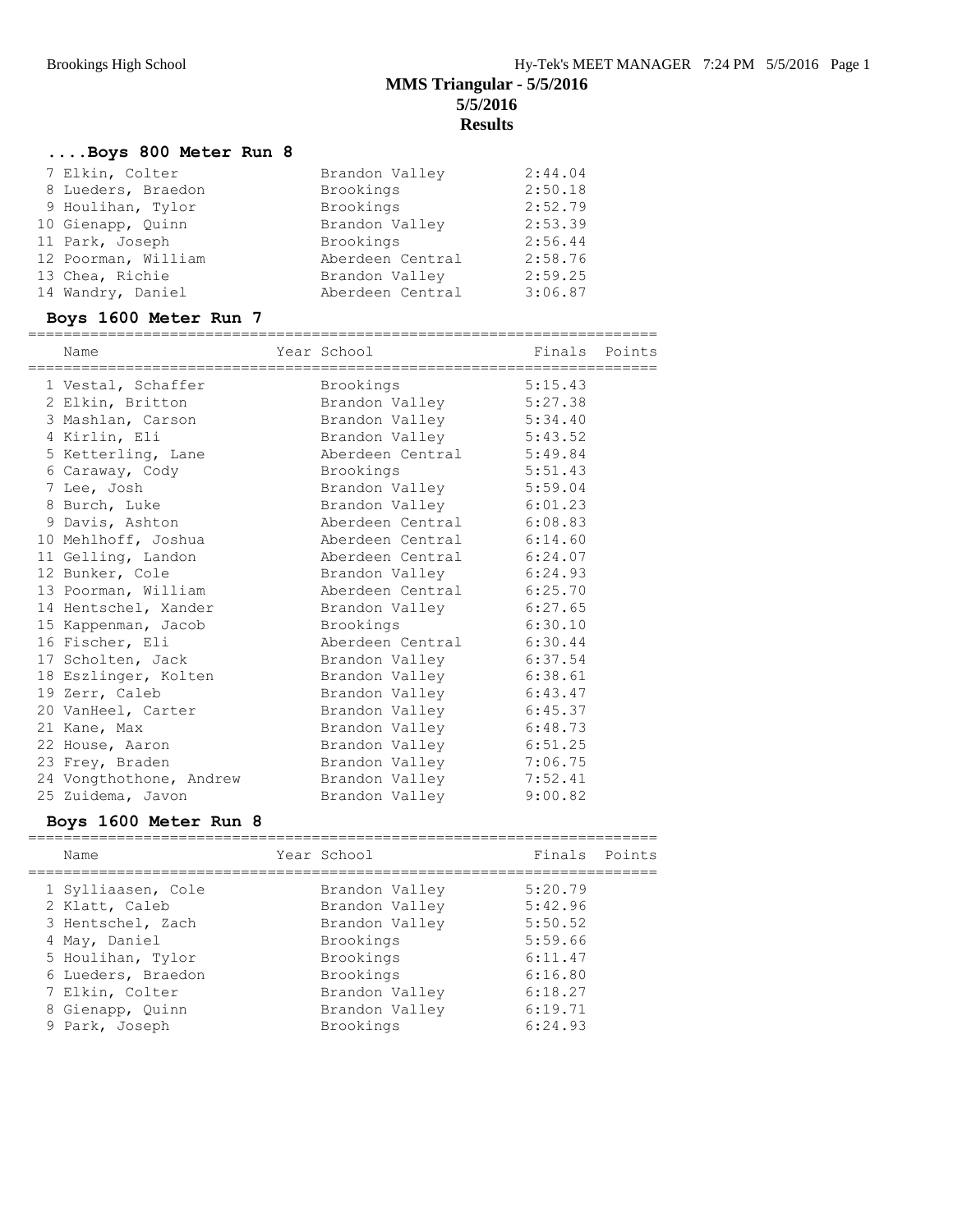## **....Boys 800 Meter Run 8**

| 7 Elkin, Colter     | Brandon Valley   | 2:44.04 |
|---------------------|------------------|---------|
| 8 Lueders, Braedon  | Brookings        | 2:50.18 |
| 9 Houlihan, Tylor   | Brookings        | 2:52.79 |
| 10 Gienapp, Quinn   | Brandon Valley   | 2:53.39 |
| 11 Park, Joseph     | Brookings        | 2:56.44 |
| 12 Poorman, William | Aberdeen Central | 2:58.76 |
| 13 Chea, Richie     | Brandon Valley   | 2:59.25 |
| 14 Wandry, Daniel   | Aberdeen Central | 3:06.87 |

## **Boys 1600 Meter Run 7**

| Name                                                       | Year School                                       | Finals Points |  |
|------------------------------------------------------------|---------------------------------------------------|---------------|--|
| ;===================================<br>1 Vestal, Schaffer | ====================================<br>Brookings | 5:15.43       |  |
| 2 Elkin, Britton                                           | Brandon Valley                                    | 5:27.38       |  |
| 3 Mashlan, Carson                                          | Brandon Valley 5:34.40                            |               |  |
| 4 Kirlin, Eli                                              | Brandon Valley 5:43.52                            |               |  |
| 5 Ketterling, Lane                                         | Aberdeen Central 5:49.84                          |               |  |
| 6 Caraway, Cody                                            | Brookings                                         | 5:51.43       |  |
| 7 Lee, Josh                                                | Brandon Valley 5:59.04                            |               |  |
| 8 Burch, Luke                                              | Brandon Valley 6:01.23                            |               |  |
| 9 Davis, Ashton                                            | Aberdeen Central 6:08.83                          |               |  |
| 10 Mehlhoff, Joshua                                        | Aberdeen Central 6:14.60                          |               |  |
| 11 Gelling, Landon                                         | Aberdeen Central 6:24.07                          |               |  |
| 12 Bunker, Cole                                            | Brandon Valley 6:24.93                            |               |  |
| 13 Poorman, William                                        | Aberdeen Central 6:25.70                          |               |  |
| 14 Hentschel, Xander                                       | Brandon Valley                                    | 6:27.65       |  |
| 15 Kappenman, Jacob                                        | Brookings                                         | 6:30.10       |  |
| 16 Fischer, Eli                                            | Aberdeen Central 6:30.44                          |               |  |
| 17 Scholten, Jack                                          | Brandon Valley                                    | 6:37.54       |  |
| 18 Eszlinger, Kolten                                       | Brandon Valley 6:38.61                            |               |  |
| 19 Zerr, Caleb                                             | Brandon Valley 6:43.47                            |               |  |
| 20 VanHeel, Carter                                         | Brandon Valley 6:45.37                            |               |  |
| 21 Kane, Max                                               | Brandon Valley 6:48.73                            |               |  |
| 22 House, Aaron                                            | Brandon Valley                                    | 6:51.25       |  |
| 23 Frey, Braden                                            | Brandon Valley 7:06.75                            |               |  |
| 24 Vongthothone, Andrew Brandon Valley 7:52.41             |                                                   |               |  |
| 25 Zuidema, Javon                                          | Brandon Valley                                    | 9:00.82       |  |

### **Boys 1600 Meter Run 8**

|  | Name                                 | Year School                      | Finals Points      |  |
|--|--------------------------------------|----------------------------------|--------------------|--|
|  | 1 Sylliaasen, Cole<br>2 Klatt, Caleb | Brandon Valley<br>Brandon Valley | 5:20.79<br>5:42.96 |  |
|  | 3 Hentschel, Zach                    | Brandon Valley                   | 5:50.52            |  |
|  | 4 May, Daniel                        | Brookings                        | 5:59.66            |  |
|  | 5 Houlihan, Tylor                    | Brookings                        | 6:11.47            |  |
|  | 6 Lueders, Braedon                   | Brookings                        | 6:16.80            |  |
|  | 7 Elkin, Colter                      | Brandon Valley                   | 6:18.27            |  |
|  | 8 Gienapp, Quinn                     | Brandon Valley                   | 6:19.71            |  |
|  | 9 Park, Joseph                       | Brookings                        | 6:24.93            |  |
|  |                                      |                                  |                    |  |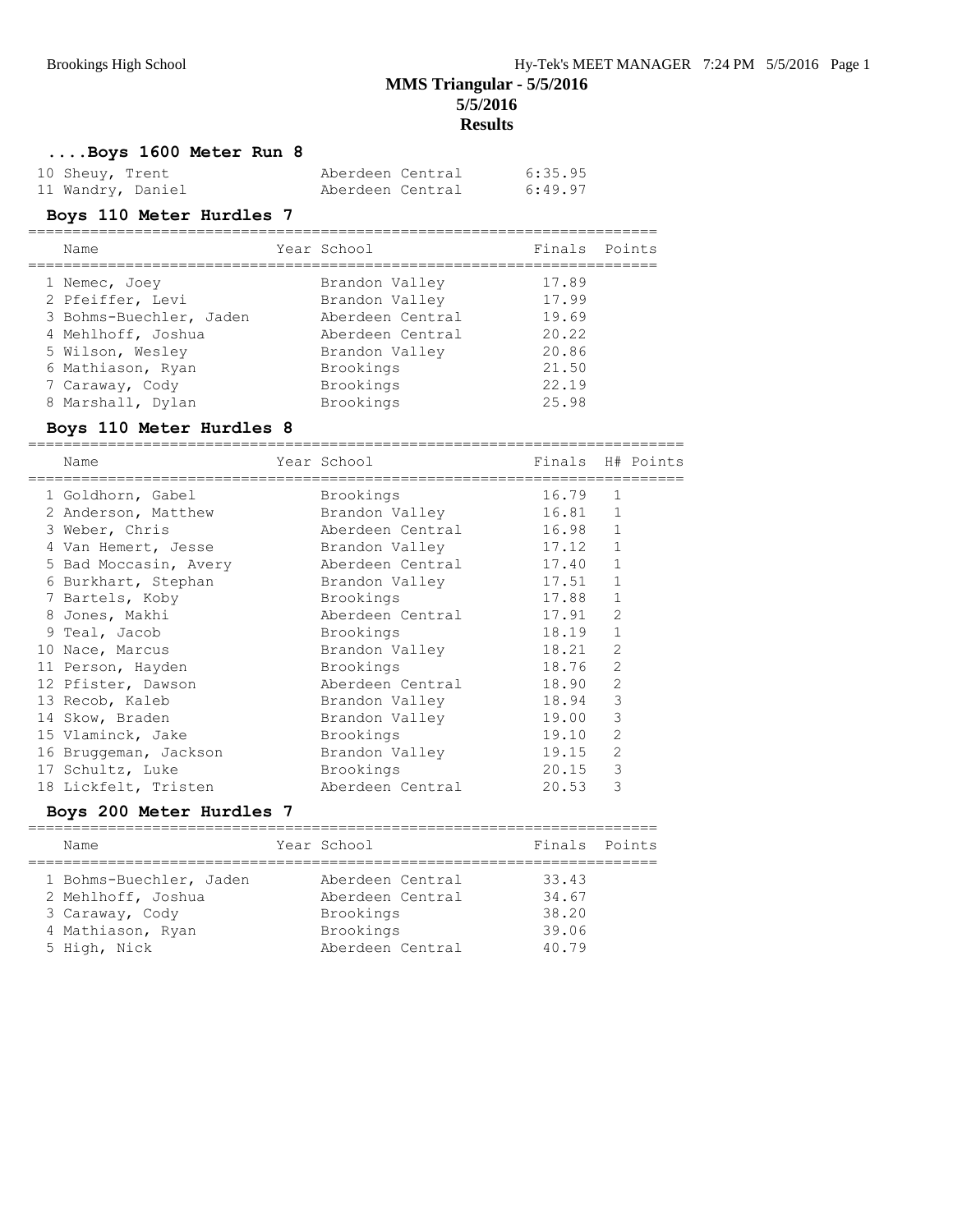**....Boys 1600 Meter Run 8**

| 10 Sheuy, Trent   | Aberdeen Central | 6:35.95 |
|-------------------|------------------|---------|
| 11 Wandry, Daniel | Aberdeen Central | 6:49.97 |

### **Boys 110 Meter Hurdles 7**

|  | Name                    | Year School      | Finals Points |  |
|--|-------------------------|------------------|---------------|--|
|  | 1 Nemec, Joey           | Brandon Valley   | 17.89         |  |
|  | 2 Pfeiffer, Levi        | Brandon Valley   | 17.99         |  |
|  | 3 Bohms-Buechler, Jaden | Aberdeen Central | 19.69         |  |
|  | 4 Mehlhoff, Joshua      | Aberdeen Central | 20.22         |  |
|  | 5 Wilson, Wesley        | Brandon Valley   | 20.86         |  |
|  | 6 Mathiason, Ryan       | Brookings        | 21.50         |  |
|  | 7 Caraway, Cody         | Brookings        | 22.19         |  |
|  | 8 Marshall, Dylan       | Brookings        | 25.98         |  |
|  |                         |                  |               |  |

### **Boys 110 Meter Hurdles 8**

| Name                  | Year School States School | Finals H# Points |                |  |
|-----------------------|---------------------------|------------------|----------------|--|
| 1 Goldhorn, Gabel     | Brookings                 | 16.79            | $\mathbf{1}$   |  |
| 2 Anderson, Matthew   | Brandon Valley            | 16.81            | $\mathbf{1}$   |  |
| 3 Weber, Chris        | Aberdeen Central          | 16.98            | $\mathbf{1}$   |  |
| 4 Van Hemert, Jesse   | Brandon Valley            | 17.12            | $\mathbf{1}$   |  |
| 5 Bad Moccasin, Avery | Aberdeen Central          | 17.40            | $\mathbf{1}$   |  |
| 6 Burkhart, Stephan   | Brandon Valley            | 17.51            | $\mathbf{1}$   |  |
| 7 Bartels, Koby       | Brookings                 | 17.88            | $\mathbf{1}$   |  |
| 8 Jones, Makhi        | Aberdeen Central          | 17.91            | $\overline{2}$ |  |
| 9 Teal, Jacob         | Brookings                 | 18.19            | $\mathbf{1}$   |  |
| 10 Nace, Marcus       | Brandon Valley            | 18.21            | $\overline{2}$ |  |
| 11 Person, Hayden     | Brookings                 | 18.76            | $\overline{2}$ |  |
| 12 Pfister, Dawson    | Aberdeen Central          | 18.90            | $\overline{2}$ |  |
| 13 Recob, Kaleb       | Brandon Valley            | 18.94            | $\mathcal{S}$  |  |
| 14 Skow, Braden       | Brandon Valley            | 19.00            | 3              |  |
| 15 Vlaminck, Jake     | Brookings                 | 19.10            | 2              |  |
| 16 Bruggeman, Jackson | Brandon Valley            | 19.15            | 2              |  |
| 17 Schultz, Luke      | Brookings                 | 20.15            | 3              |  |
| 18 Lickfelt, Tristen  | Aberdeen Central          | 20.53            | 3              |  |

### **Boys 200 Meter Hurdles 7**

| Name                    | Year School      | Finals Points |  |
|-------------------------|------------------|---------------|--|
| 1 Bohms-Buechler, Jaden | Aberdeen Central | 33.43         |  |
| 2 Mehlhoff, Joshua      | Aberdeen Central | 34.67         |  |
| 3 Caraway, Cody         | Brookings        | 38.20         |  |
| 4 Mathiason, Ryan       | Brookings        | 39.06         |  |
| 5 High, Nick            | Aberdeen Central | 40.79         |  |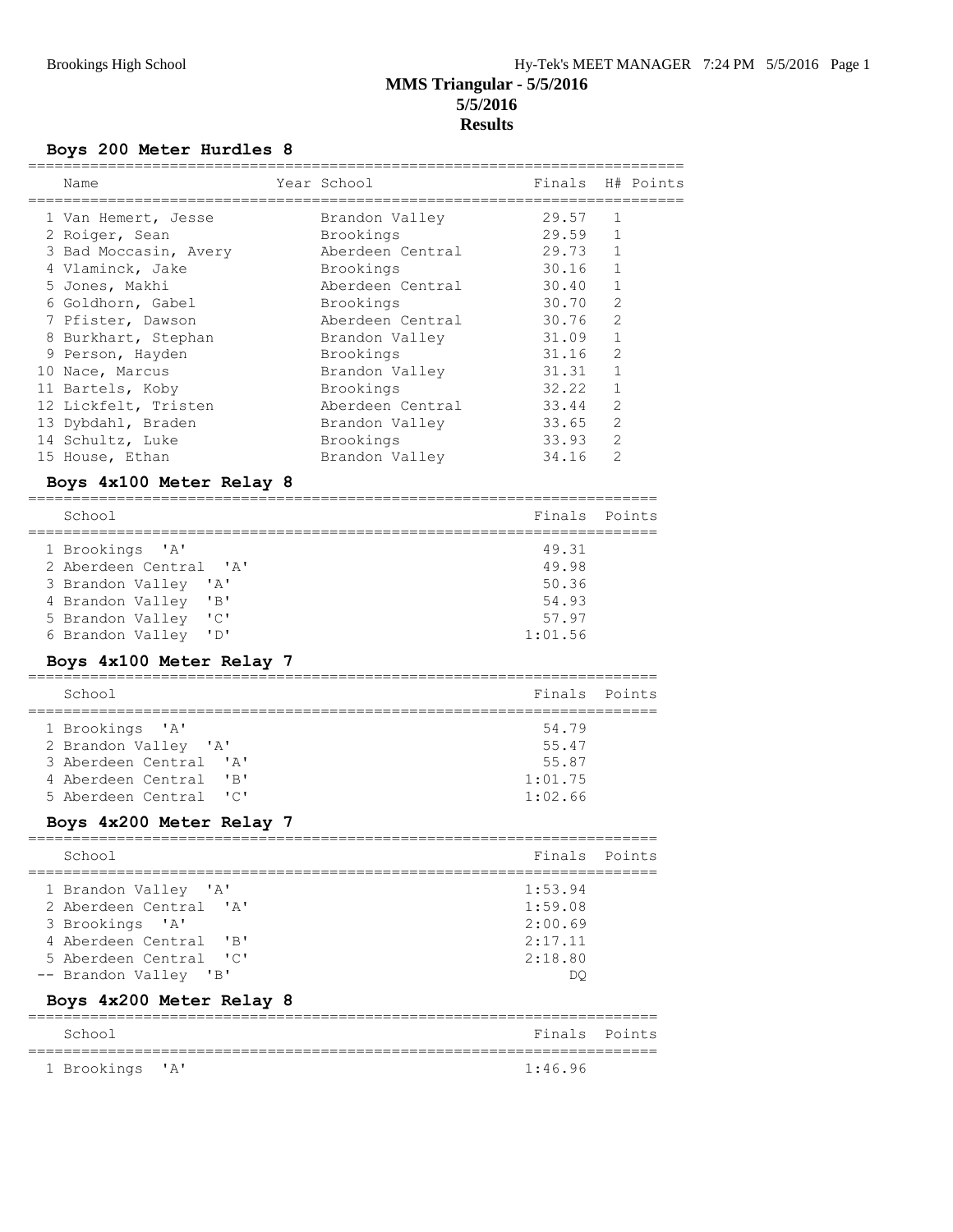# **Boys 200 Meter Hurdles 8**

| Name                                                                    |             | Year School      | Finals  | H# Points      |
|-------------------------------------------------------------------------|-------------|------------------|---------|----------------|
| 1 Van Hemert, Jesse                                                     |             | Brandon Valley   | 29.57   | 1              |
| 2 Roiger, Sean                                                          |             | Brookings        | 29.59   | 1              |
| 3 Bad Moccasin, Avery                                                   |             | Aberdeen Central | 29.73   | $\mathbf{1}$   |
| 4 Vlaminck, Jake                                                        |             | Brookings        | 30.16   | 1              |
| 5 Jones, Makhi                                                          |             | Aberdeen Central | 30.40   | 1              |
| 6 Goldhorn, Gabel                                                       |             | Brookings        | 30.70   | 2              |
| 7 Pfister, Dawson                                                       |             | Aberdeen Central | 30.76   | 2              |
| 8 Burkhart, Stephan                                                     |             | Brandon Valley   | 31.09   | $\mathbf{1}$   |
| 9 Person, Hayden                                                        |             | Brookings        | 31.16   | $\overline{2}$ |
| 10 Nace, Marcus                                                         |             | Brandon Valley   | 31.31   | $\mathbf{1}$   |
| 11 Bartels, Koby                                                        |             | Brookings        | 32.22   | 1              |
| 12 Lickfelt, Tristen                                                    |             | Aberdeen Central | 33.44   | 2              |
| 13 Dybdahl, Braden                                                      |             | Brandon Valley   | 33.65   | 2              |
| 14 Schultz, Luke                                                        |             | Brookings        | 33.93   | $\overline{2}$ |
| 15 House, Ethan                                                         |             | Brandon Valley   | 34.16   | 2              |
| Boys 4x100 Meter Relay 8                                                |             |                  |         |                |
| School                                                                  |             |                  | Finals  | Points         |
| 1 Brookings<br>$^{\prime}$ A $^{\prime}$                                |             |                  | 49.31   |                |
| 2 Aberdeen Central 'A'                                                  |             |                  | 49.98   |                |
| 3 Brandon Valley<br>' A'                                                |             |                  | 50.36   |                |
| 4 Brandon Valley<br>$^{\prime}$ B <sup><math>\prime</math></sup>        |             |                  | 54.93   |                |
| "C"<br>5 Brandon Valley                                                 |             |                  | 57.97   |                |
| "D"<br>6 Brandon Valley                                                 |             |                  | 1:01.56 |                |
| Boys 4x100 Meter Relay 7                                                |             |                  |         |                |
| School                                                                  |             |                  | Finals  | Points         |
| 1 Brookings<br>$^{\prime}$ A $^{\prime}$                                |             |                  | 54.79   |                |
| 2 Brandon Valley 'A'                                                    |             |                  | 55.47   |                |
| 3 Aberdeen Central<br>$^{\prime}$ A $^{\prime}$                         |             |                  | 55.87   |                |
| 4 Aberdeen Central<br>"B"                                               |             |                  | 1:01.75 |                |
| 5 Aberdeen Central<br>"C"                                               |             |                  | 1:02.66 |                |
| Boys 4x200 Meter Relay 7                                                |             |                  |         |                |
| School                                                                  |             |                  |         | Finals Points  |
| 1 Brandon Valley 'A'                                                    |             |                  | 1:53.94 |                |
| 2 Aberdeen Central 'A'                                                  |             |                  | 1:59.08 |                |
| 3 Brookings 'A'                                                         |             |                  | 2:00.69 |                |
| 4 Aberdeen Central<br>$^{\prime}$ B <sup><math>\prime</math></sup>      |             |                  | 2:17.11 |                |
| 5 Aberdeen Central<br>$\overline{\phantom{a}}$ $\overline{\phantom{a}}$ |             |                  | 2:18.80 |                |
| -- Brandon Valley<br>$\overline{B}$                                     |             |                  | DQ.     |                |
| Boys 4x200 Meter Relay 8                                                |             |                  |         |                |
| School                                                                  | =========== |                  |         | Finals Points  |
| --------------------------------<br>1 Brookings 'A'                     |             |                  | 1:46.96 |                |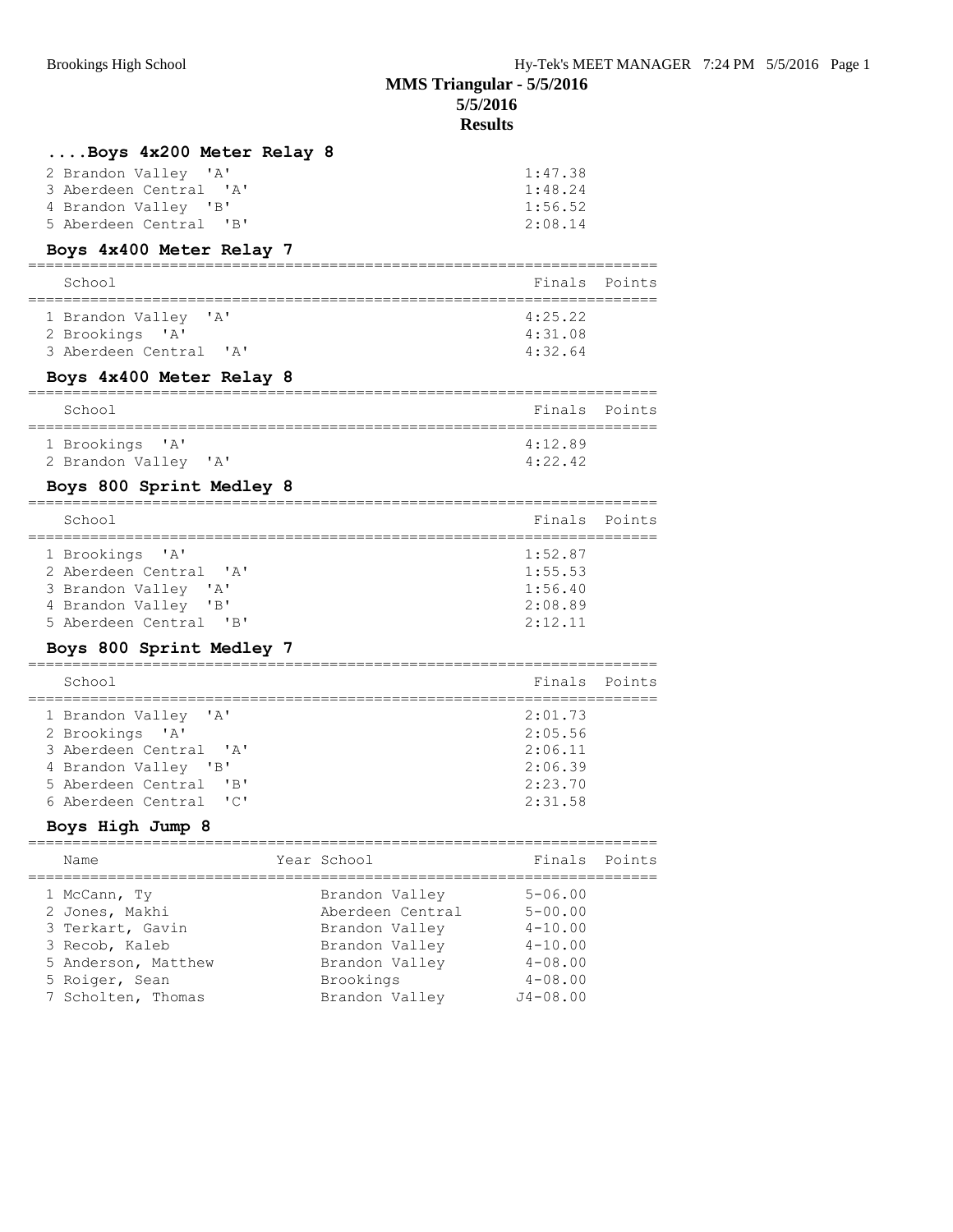# **MMS Triangular - 5/5/2016 5/5/2016**

### **Results**

## **....Boys 4x200 Meter Relay 8**

| 2 Brandon Valley 'A'   | 1:47.38 |
|------------------------|---------|
| 3 Aberdeen Central 'A' | 1:48.24 |
| 4 Brandon Valley 'B'   | 1:56.52 |
| 5 Aberdeen Central 'B' | 2:08.14 |

### **Boys 4x400 Meter Relay 7**

| School                                                            | Finals Points                 |  |
|-------------------------------------------------------------------|-------------------------------|--|
| 1 Brandon Valley 'A'<br>2 Brookings 'A'<br>3 Aberdeen Central 'A' | 4:25.22<br>4:31.08<br>4:32.64 |  |

### **Boys 4x400 Meter Relay 8**

| School               | Finals Points |  |
|----------------------|---------------|--|
| 1 Brookings 'A'      | 4:12.89       |  |
| 2 Brandon Valley 'A' | 4:22.42       |  |

### **Boys 800 Sprint Medley 8**

| Finals Points<br>School<br>1:52.87<br>1 Brookings 'A'<br>2 Aberdeen Central 'A'<br>1:55.53<br>1:56.40<br>3 Brandon Valley 'A'<br>2:08.89<br>4 Brandon Valley 'B' |                        |         |  |
|------------------------------------------------------------------------------------------------------------------------------------------------------------------|------------------------|---------|--|
|                                                                                                                                                                  |                        |         |  |
|                                                                                                                                                                  | 5 Aberdeen Central 'B' | 2:12.11 |  |

### **Boys 800 Sprint Medley 7**

| School                                           | Finals Points |  |
|--------------------------------------------------|---------------|--|
| 1 Brandon Valley 'A'                             | 2:01.73       |  |
| 2 Brookings 'A'                                  | 2:05.56       |  |
| 3 Aberdeen Central 'A'                           | 2:06.11       |  |
| 4 Brandon Valley 'B'                             | 2:06.39       |  |
| 5 Aberdeen Central<br>$^{\prime}$ B <sup>1</sup> | 2:23.70       |  |
| 6 Aberdeen Central 'C'                           | 2:31.58       |  |
|                                                  |               |  |

### **Boys High Jump 8**

| Name                | Year School      | Finals Points |  |
|---------------------|------------------|---------------|--|
| 1 McCann, Ty        | Brandon Valley   | $5 - 06.00$   |  |
| 2 Jones, Makhi      | Aberdeen Central | $5 - 00.00$   |  |
| 3 Terkart, Gavin    | Brandon Valley   | $4 - 10.00$   |  |
| 3 Recob, Kaleb      | Brandon Valley   | $4 - 10.00$   |  |
| 5 Anderson, Matthew | Brandon Valley   | $4 - 08.00$   |  |
| 5 Roiger, Sean      | Brookings        | $4 - 08.00$   |  |
| 7 Scholten, Thomas  | Brandon Valley   | $J4 - 08.00$  |  |
|                     |                  |               |  |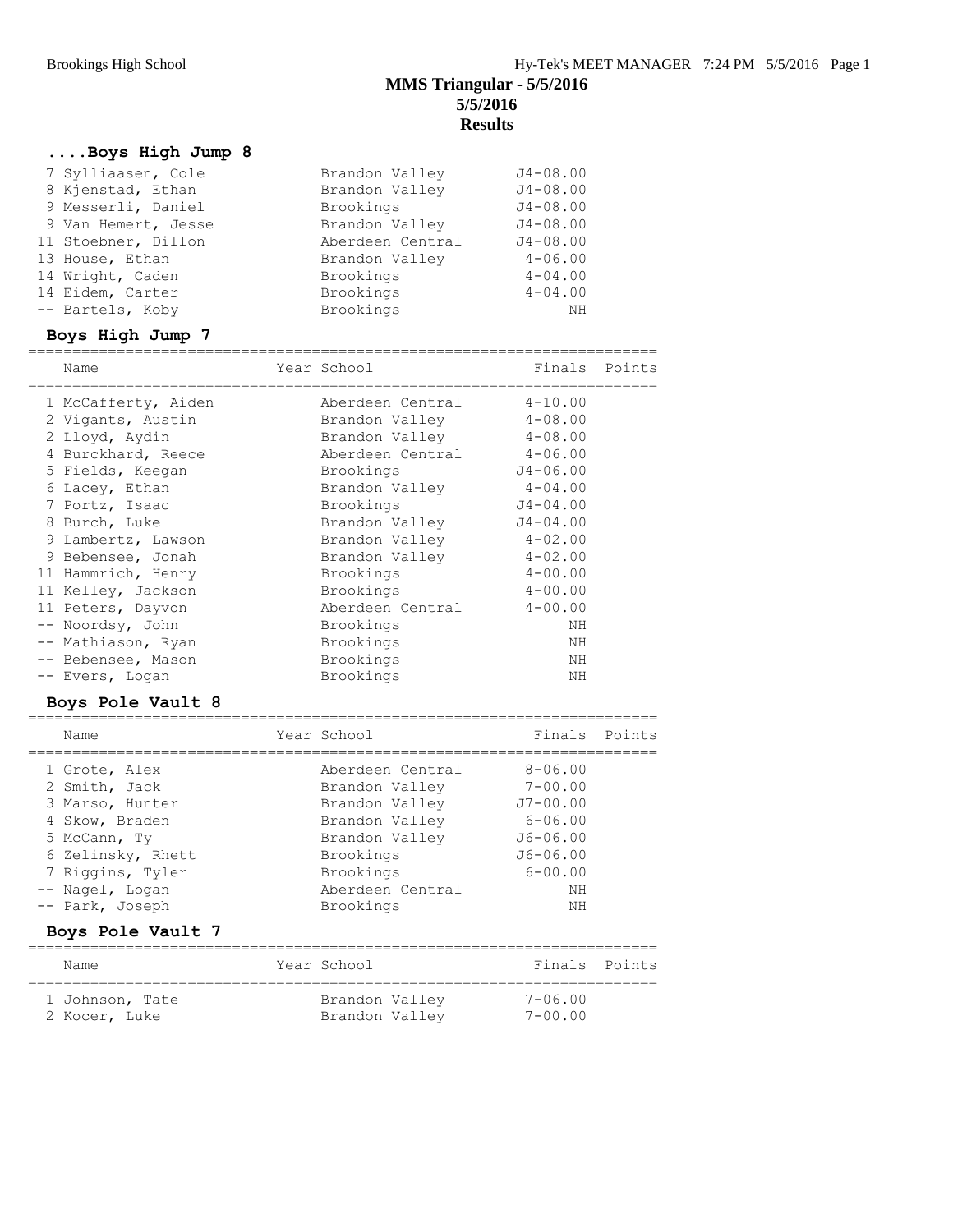## **....Boys High Jump 8**

| 7 Sylliaasen, Cole  | Brandon Valley   | $J4 - 08.00$ |
|---------------------|------------------|--------------|
| 8 Kjenstad, Ethan   | Brandon Valley   | $J4 - 08.00$ |
| 9 Messerli, Daniel  | Brookings        | $J4 - 08.00$ |
| 9 Van Hemert, Jesse | Brandon Valley   | $J4 - 08.00$ |
| 11 Stoebner, Dillon | Aberdeen Central | $J4 - 08.00$ |
| 13 House, Ethan     | Brandon Valley   | $4 - 06.00$  |
| 14 Wright, Caden    | Brookings        | $4 - 04.00$  |
| 14 Eidem, Carter    | Brookings        | $4 - 04.00$  |
| -- Bartels, Koby    | Brookings        | ΝH           |

## **Boys High Jump 7**

| Name                | Year School      | Finals Points |  |
|---------------------|------------------|---------------|--|
| 1 McCafferty, Aiden | Aberdeen Central | $4 - 10.00$   |  |
| 2 Vigants, Austin   | Brandon Valley   | $4 - 08.00$   |  |
| 2 Lloyd, Aydin      | Brandon Valley   | $4 - 08.00$   |  |
| 4 Burckhard, Reece  | Aberdeen Central | $4 - 06.00$   |  |
| 5 Fields, Keegan    | Brookings        | $J4 - 06.00$  |  |
| 6 Lacey, Ethan      | Brandon Valley   | $4 - 04.00$   |  |
| 7 Portz, Isaac      | Brookings        | $J4 - 04.00$  |  |
| 8 Burch, Luke       | Brandon Valley   | $J4 - 04.00$  |  |
| 9 Lambertz, Lawson  | Brandon Valley   | $4 - 02.00$   |  |
| 9 Bebensee, Jonah   | Brandon Valley   | $4 - 02.00$   |  |
| 11 Hammrich, Henry  | Brookings        | $4 - 00.00$   |  |
| 11 Kelley, Jackson  | Brookings        | $4 - 00.00$   |  |
| 11 Peters, Dayvon   | Aberdeen Central | $4 - 00.00$   |  |
| -- Noordsy, John    | Brookings        | NΗ            |  |
| -- Mathiason, Ryan  | Brookings        | ΝH            |  |
| -- Bebensee, Mason  | Brookings        | ΝH            |  |
| -- Evers, Logan     | Brookings        | NΗ            |  |
|                     |                  |               |  |

### **Boys Pole Vault 8**

| Name              | Year School      | Finals Points |  |
|-------------------|------------------|---------------|--|
| 1 Grote, Alex     | Aberdeen Central | $8 - 06.00$   |  |
| 2 Smith, Jack     | Brandon Valley   | $7 - 00.00$   |  |
| 3 Marso, Hunter   | Brandon Valley   | $J7 - 00.00$  |  |
| 4 Skow, Braden    | Brandon Valley   | $6 - 06.00$   |  |
| 5 McCann, Ty      | Brandon Valley   | $J6 - 06.00$  |  |
| 6 Zelinsky, Rhett | Brookings        | $J6 - 06.00$  |  |
| 7 Riggins, Tyler  | Brookings        | $6 - 00.00$   |  |
| -- Nagel, Logan   | Aberdeen Central | NΗ            |  |
| -- Park, Joseph   | Brookings        | NΗ            |  |
|                   |                  |               |  |

## **Boys Pole Vault 7**

| Name            | Year School    | Finals Points |
|-----------------|----------------|---------------|
| 1 Johnson, Tate | Brandon Valley | $7 - 06.00$   |
| 2 Kocer, Luke   | Brandon Valley | $7 - 00.00$   |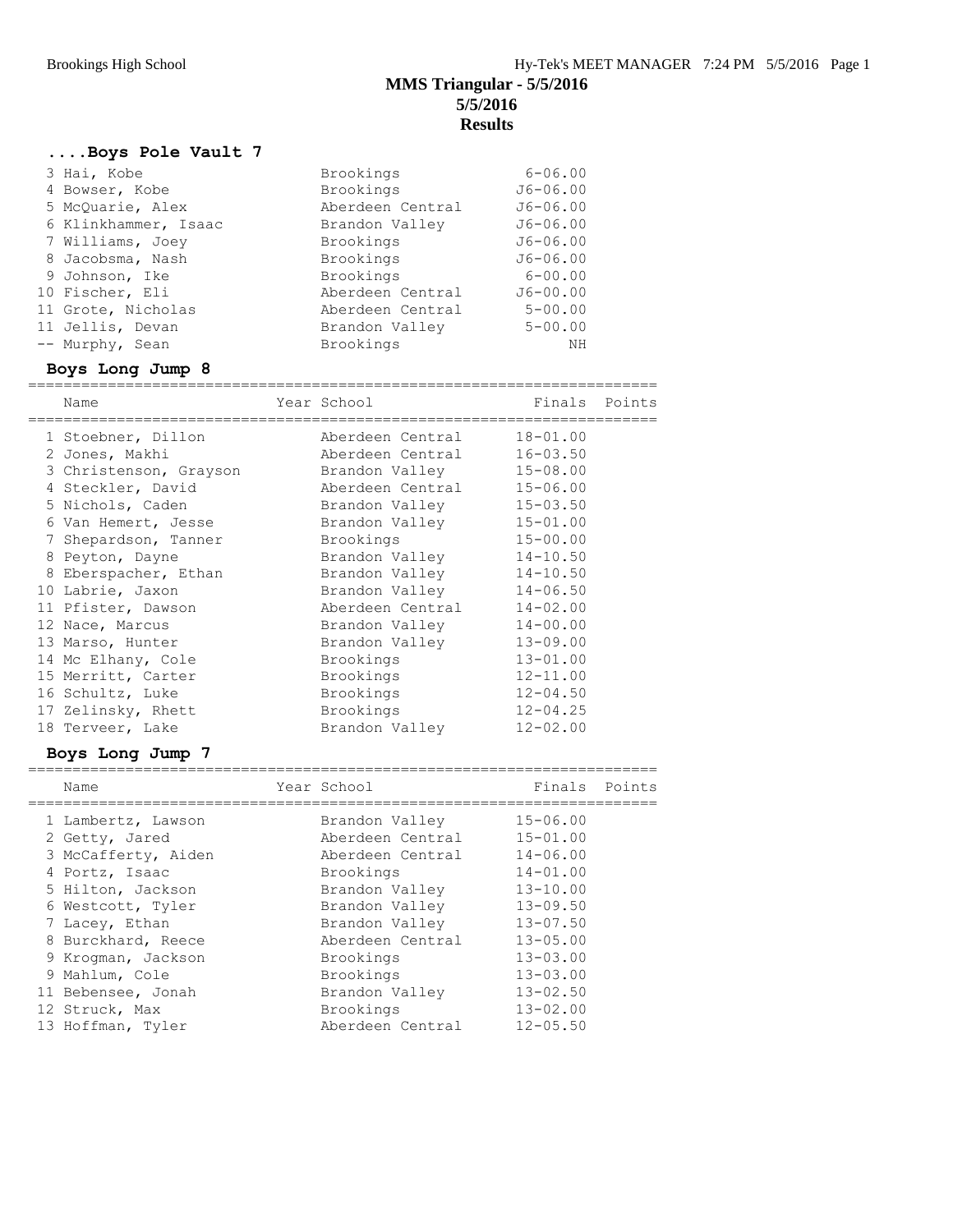# **....Boys Pole Vault 7**

| 3 Hai, Kobe          | Brookings        | $6 - 06.00$  |
|----------------------|------------------|--------------|
| 4 Bowser, Kobe       | Brookings        | $J6 - 06.00$ |
| 5 McOuarie, Alex     | Aberdeen Central | $J6 - 06.00$ |
| 6 Klinkhammer, Isaac | Brandon Valley   | $J6 - 06.00$ |
| 7 Williams, Joey     | Brookings        | $J6 - 06.00$ |
| 8 Jacobsma, Nash     | Brookings        | $J6 - 06.00$ |
| 9 Johnson, Ike       | Brookings        | $6 - 00.00$  |
| 10 Fischer, Eli      | Aberdeen Central | $J6 - 00.00$ |
| 11 Grote, Nicholas   | Aberdeen Central | $5 - 00.00$  |
| 11 Jellis, Devan     | Brandon Valley   | $5 - 00.00$  |
| -- Murphy, Sean      | Brookings        | ΝH           |

### **Boys Long Jump 8**

| Name                    | Year School      | Finals       | Points |
|-------------------------|------------------|--------------|--------|
| 1 Stoebner, Dillon      | Aberdeen Central | $18 - 01.00$ |        |
| 2 Jones, Makhi          | Aberdeen Central | $16 - 03.50$ |        |
| 3 Christenson, Grayson  | Brandon Valley   | $15 - 08.00$ |        |
| 4 Steckler, David       | Aberdeen Central | $15 - 06.00$ |        |
| 5 Nichols, Caden        | Brandon Valley   | $15 - 03.50$ |        |
| 6 Van Hemert, Jesse     | Brandon Valley   | $15 - 01.00$ |        |
| 7 Shepardson, Tanner    | Brookings        | $15 - 00.00$ |        |
| 8 Peyton, Dayne         | Brandon Valley   | $14 - 10.50$ |        |
| 8<br>Eberspacher, Ethan | Brandon Valley   | $14 - 10.50$ |        |
| 10 Labrie, Jaxon        | Brandon Valley   | $14 - 06.50$ |        |
| 11 Pfister, Dawson      | Aberdeen Central | $14 - 02.00$ |        |
| 12 Nace, Marcus         | Brandon Valley   | $14 - 00.00$ |        |
| 13 Marso, Hunter        | Brandon Valley   | $13 - 09.00$ |        |
| 14 Mc Elhany, Cole      | Brookings        | $13 - 01.00$ |        |
| 15 Merritt, Carter      | Brookings        | $12 - 11.00$ |        |
| 16 Schultz, Luke        | Brookings        | $12 - 04.50$ |        |
| 17 Zelinsky, Rhett      | Brookings        | $12 - 04.25$ |        |
| 18 Terveer, Lake        | Brandon Valley   | $12 - 02.00$ |        |
|                         |                  |              |        |

### **Boys Long Jump 7**

| Name                | Year School      | Finals       | Points |
|---------------------|------------------|--------------|--------|
| 1 Lambertz, Lawson  | Brandon Valley   | $15 - 06.00$ |        |
| 2 Getty, Jared      | Aberdeen Central | $15 - 01.00$ |        |
| 3 McCafferty, Aiden | Aberdeen Central | $14 - 06.00$ |        |
| 4 Portz, Isaac      | Brookings        | $14 - 01.00$ |        |
| 5 Hilton, Jackson   | Brandon Valley   | $13 - 10.00$ |        |
| 6 Westcott, Tyler   | Brandon Valley   | $13 - 09.50$ |        |
| 7 Lacey, Ethan      | Brandon Valley   | $13 - 07.50$ |        |
| 8 Burckhard, Reece  | Aberdeen Central | $13 - 05.00$ |        |
| 9 Kroqman, Jackson  | Brookings        | $13 - 03.00$ |        |
| 9 Mahlum, Cole      | Brookings        | $13 - 03.00$ |        |
| 11 Bebensee, Jonah  | Brandon Valley   | $13 - 02.50$ |        |
| 12 Struck, Max      | Brookings        | $13 - 02.00$ |        |
| 13 Hoffman, Tyler   | Aberdeen Central | $12 - 05.50$ |        |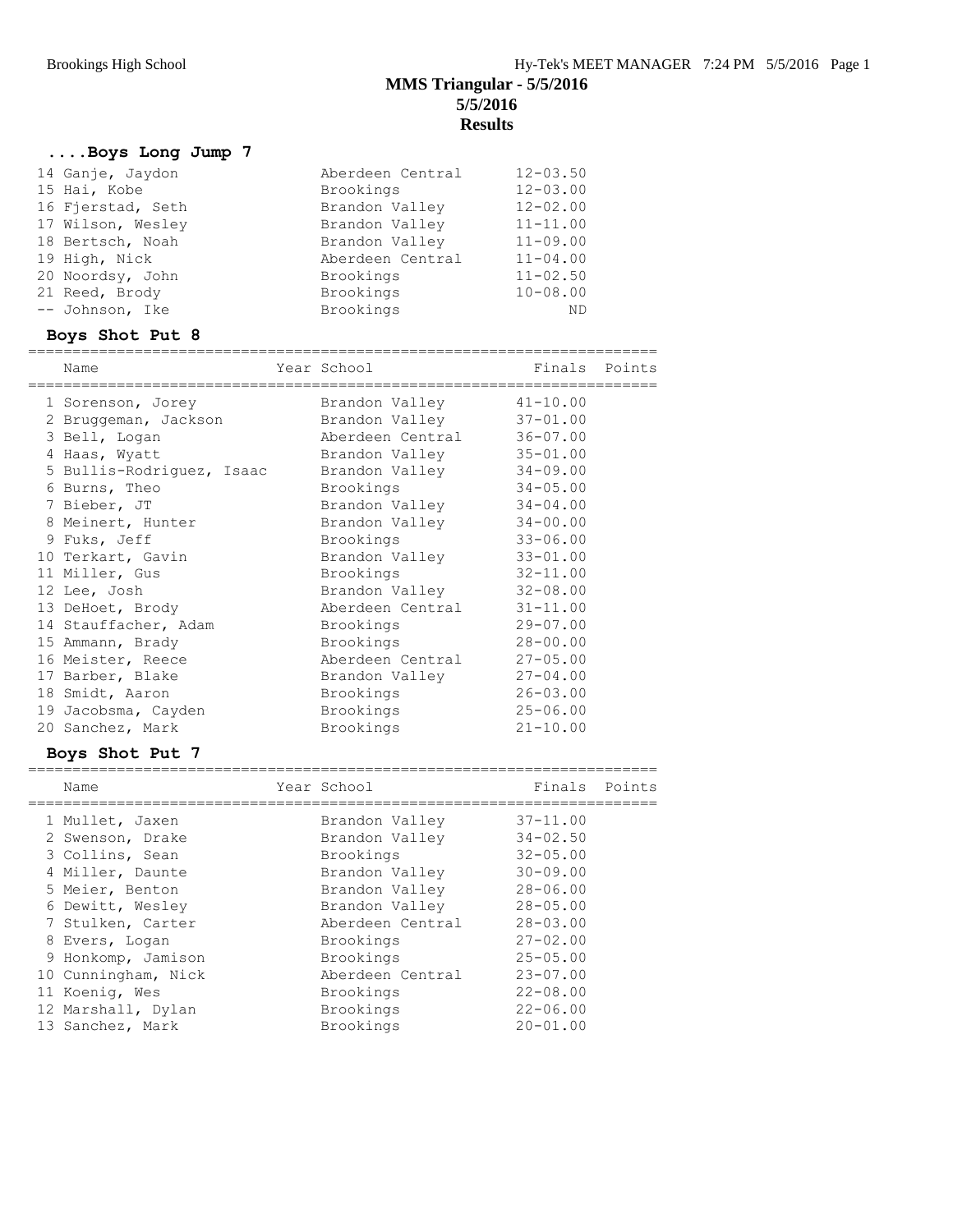# **....Boys Long Jump 7**

| 14 Ganje, Jaydon  | Aberdeen Central | $12 - 03.50$ |
|-------------------|------------------|--------------|
| 15 Hai, Kobe      | Brookings        | $12 - 03.00$ |
| 16 Fjerstad, Seth | Brandon Valley   | $12 - 02.00$ |
| 17 Wilson, Wesley | Brandon Valley   | $11 - 11.00$ |
| 18 Bertsch, Noah  | Brandon Valley   | $11 - 09.00$ |
| 19 High, Nick     | Aberdeen Central | $11 - 04.00$ |
| 20 Noordsy, John  | Brookings        | $11 - 02.50$ |
| 21 Reed, Brody    | Brookings        | $10 - 08.00$ |
| -- Johnson, Ike   | Brookings        | <b>ND</b>    |

# **Boys Shot Put 8**

|  | Name                      | Year School<br>-------------------- | Finals Points |  |
|--|---------------------------|-------------------------------------|---------------|--|
|  | 1 Sorenson, Jorey         | Brandon Valley                      | $41 - 10.00$  |  |
|  | 2 Bruggeman, Jackson      | Brandon Valley                      | $37 - 01.00$  |  |
|  | 3 Bell, Logan             | Aberdeen Central                    | $36 - 07.00$  |  |
|  | 4 Haas, Wyatt             | Brandon Valley                      | $35 - 01.00$  |  |
|  | 5 Bullis-Rodriguez, Isaac | Brandon Valley                      | $34 - 09.00$  |  |
|  | 6 Burns, Theo             | Brookings                           | $34 - 05.00$  |  |
|  | 7 Bieber, JT              | Brandon Valley                      | $34 - 04.00$  |  |
|  | 8 Meinert, Hunter         | Brandon Valley                      | $34 - 00.00$  |  |
|  | 9 Fuks, Jeff              | Brookings                           | $33 - 06.00$  |  |
|  | 10 Terkart, Gavin         | Brandon Valley                      | $33 - 01.00$  |  |
|  | 11 Miller, Gus            | Brookings                           | $32 - 11.00$  |  |
|  | 12 Lee, Josh              | Brandon Valley                      | $32 - 08.00$  |  |
|  | 13 DeHoet, Brody          | Aberdeen Central                    | $31 - 11.00$  |  |
|  | 14 Stauffacher, Adam      | Brookings                           | $29 - 07.00$  |  |
|  | 15 Ammann, Brady          | Brookings                           | $28 - 00.00$  |  |
|  | 16 Meister, Reece         | Aberdeen Central                    | $27 - 05.00$  |  |
|  | 17 Barber, Blake          | Brandon Valley                      | $27 - 04.00$  |  |
|  | 18 Smidt, Aaron           | Brookings                           | $26 - 03.00$  |  |
|  | 19 Jacobsma, Cayden       | Brookings                           | $25 - 06.00$  |  |
|  | 20 Sanchez, Mark          | Brookings                           | $21 - 10.00$  |  |
|  |                           |                                     |               |  |

### **Boys Shot Put 7**

| Name                | Year School      | Finals       | Points |
|---------------------|------------------|--------------|--------|
| 1 Mullet, Jaxen     | Brandon Valley   | $37 - 11.00$ |        |
| 2 Swenson, Drake    | Brandon Valley   | $34 - 02.50$ |        |
| 3 Collins, Sean     | Brookings        | $32 - 05.00$ |        |
| 4 Miller, Daunte    | Brandon Valley   | $30 - 09.00$ |        |
| 5 Meier, Benton     | Brandon Valley   | $28 - 06.00$ |        |
| 6 Dewitt, Wesley    | Brandon Valley   | $28 - 05.00$ |        |
| 7 Stulken, Carter   | Aberdeen Central | $28 - 03.00$ |        |
| 8 Evers, Logan      | Brookings        | $27 - 02.00$ |        |
| 9 Honkomp, Jamison  | Brookings        | $25 - 05.00$ |        |
| 10 Cunningham, Nick | Aberdeen Central | $23 - 07.00$ |        |
| 11 Koenig, Wes      | Brookings        | $22 - 08.00$ |        |
| 12 Marshall, Dylan  | Brookings        | $22 - 06.00$ |        |
| 13 Sanchez, Mark    | Brookings        | $20 - 01.00$ |        |